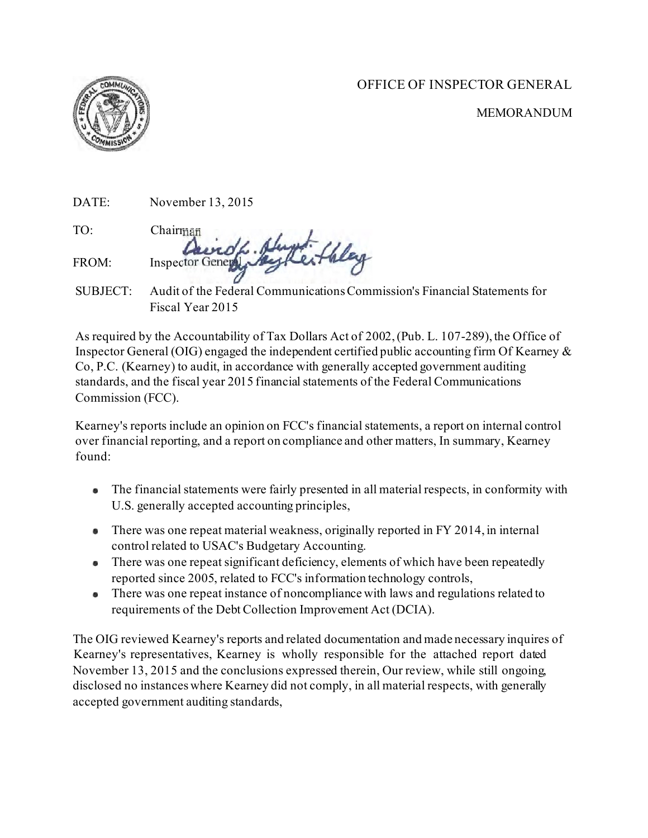OFFICE OF INSPECTOR GENERAL



MEMORANDUM

DATE: November 13, 2015

TO: Chairman Hught they FROM: Inspector General

SUBJECT: Audit of the Federal Communications Commission's Financial Statements for Fiscal Year 2015

As required by the Accountability of Tax Dollars Act of 2002, (Pub. L. 107-289), the Office of Inspector General (OIG) engaged the independent certified public accounting firm Of Kearney & Co, P.C. (Kearney) to audit, in accordance with generally accepted government auditing standards, and the fiscal year 2015 financial statements of the Federal Communications Commission (FCC).

Kearney's reports include an opinion on FCC's financial statements, a report on internal control over financial reporting, and a report on compliance and other matters, In summary, Kearney found:

- The financial statements were fairly presented in all material respects, in conformity with U.S. generally accepted accounting principles,
- There was one repeat material weakness, originally reported in FY 2014, in internal control related to USAC's Budgetary Accounting.
- There was one repeat significant deficiency, elements of which have been repeatedly reported since 2005, related to FCC's information technology controls,
- There was one repeat instance of noncompliance with laws and regulations related to  $\bullet$ requirements of the Debt Collection Improvement Act (DCIA).

The OIG reviewed Kearney's reports and related documentation and made necessary inquires of Kearney's representatives, Kearney is wholly responsible for the attached report dated November 13, 2015 and the conclusions expressed therein, Our review, while still ongoing, disclosed no instances where Kearney did not comply, in all material respects, with generally accepted government auditing standards,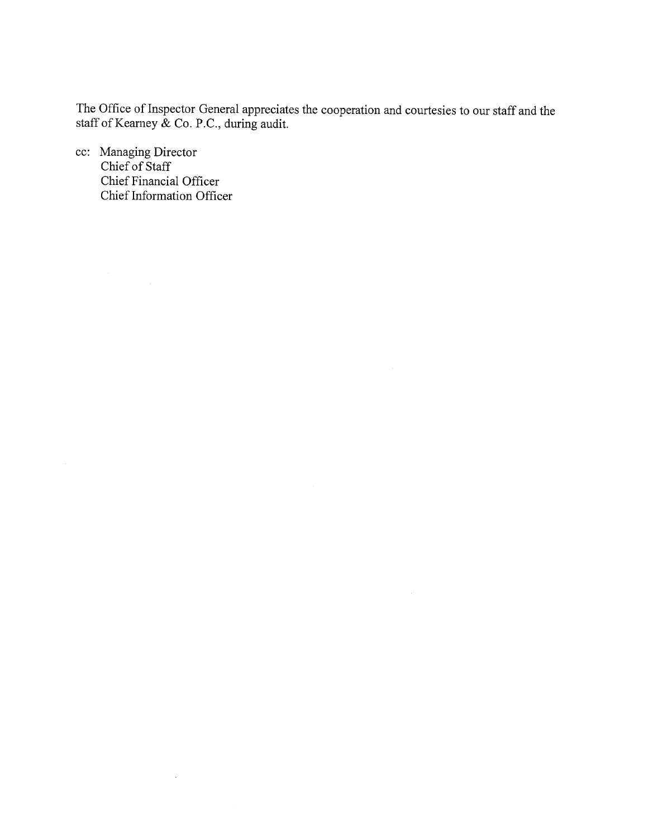The Office of Inspector General appreciates the cooperation and courtesies to our staff and the staff of Kearney & Co. P.C., during audit.

cc: Managing Director Chief of Staff Chief Financial Officer Chief Information Officer

 $\sim 10^{-10}$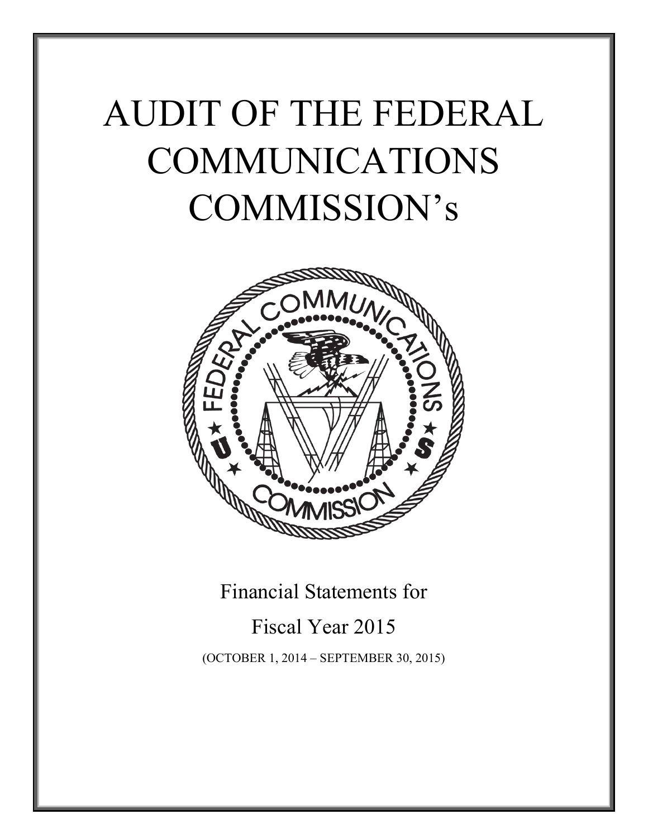# COMMISSION's AUDIT OF THE FEDERAL COMMUNICATIONS



# Financial Statements for

# Fiscal Year 2015

(OCTOBER 1, 2014 – SEPTEMBER 30, 2015)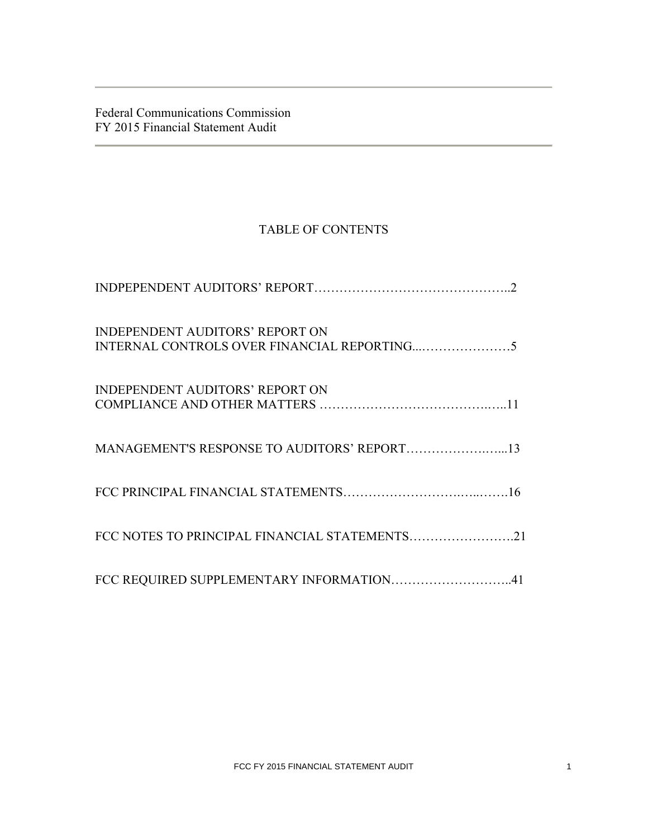Federal Communications Commission FY 2015 Financial Statement Audit

## TABLE OF CONTENTS

| <b>INDEPENDENT AUDITORS' REPORT ON</b>        |
|-----------------------------------------------|
| INDEPENDENT AUDITORS' REPORT ON               |
| MANAGEMENT'S RESPONSE TO AUDITORS' REPORT13   |
|                                               |
| FCC NOTES TO PRINCIPAL FINANCIAL STATEMENTS21 |
| FCC REQUIRED SUPPLEMENTARY INFORMATION41      |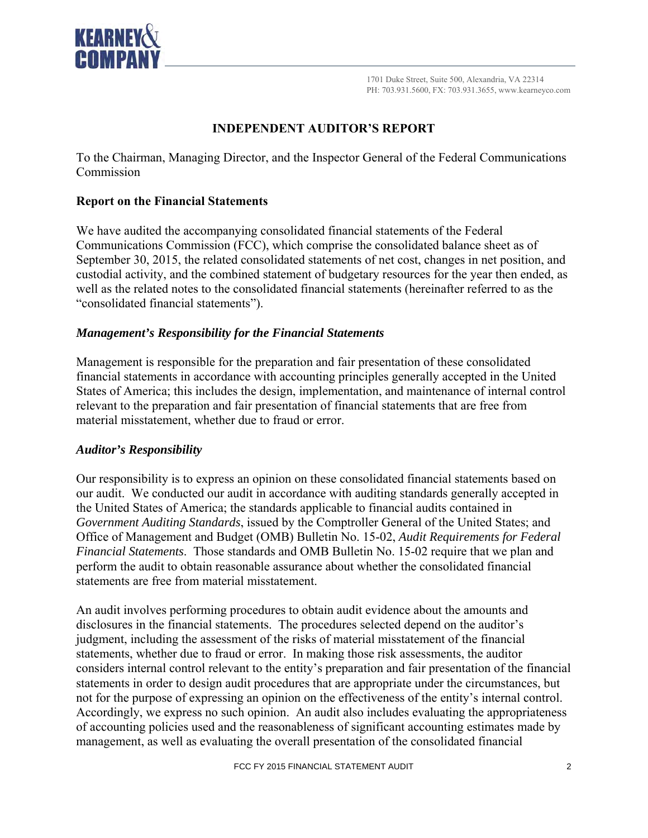

## **INDEPENDENT AUDITOR'S REPORT**

To the Chairman, Managing Director, and the Inspector General of the Federal Communications Commission

#### **Report on the Financial Statements**

We have audited the accompanying consolidated financial statements of the Federal Communications Commission (FCC), which comprise the consolidated balance sheet as of September 30, 2015, the related consolidated statements of net cost, changes in net position, and custodial activity, and the combined statement of budgetary resources for the year then ended, as well as the related notes to the consolidated financial statements (hereinafter referred to as the "consolidated financial statements").

#### *Management's Responsibility for the Financial Statements*

Management is responsible for the preparation and fair presentation of these consolidated financial statements in accordance with accounting principles generally accepted in the United States of America; this includes the design, implementation, and maintenance of internal control relevant to the preparation and fair presentation of financial statements that are free from material misstatement, whether due to fraud or error.

#### *Auditor's Responsibility*

 the United States of America; the standards applicable to financial audits contained in Our responsibility is to express an opinion on these consolidated financial statements based on our audit. We conducted our audit in accordance with auditing standards generally accepted in *Government Auditing Standards*, issued by the Comptroller General of the United States; and Office of Management and Budget (OMB) Bulletin No. 15-02, *Audit Requirements for Federal Financial Statements*. Those standards and OMB Bulletin No. 15-02 require that we plan and perform the audit to obtain reasonable assurance about whether the consolidated financial statements are free from material misstatement.

An audit involves performing procedures to obtain audit evidence about the amounts and disclosures in the financial statements. The procedures selected depend on the auditor's judgment, including the assessment of the risks of material misstatement of the financial statements, whether due to fraud or error. In making those risk assessments, the auditor considers internal control relevant to the entity's preparation and fair presentation of the financial statements in order to design audit procedures that are appropriate under the circumstances, but not for the purpose of expressing an opinion on the effectiveness of the entity's internal control. Accordingly, we express no such opinion. An audit also includes evaluating the appropriateness of accounting policies used and the reasonableness of significant accounting estimates made by management, as well as evaluating the overall presentation of the consolidated financial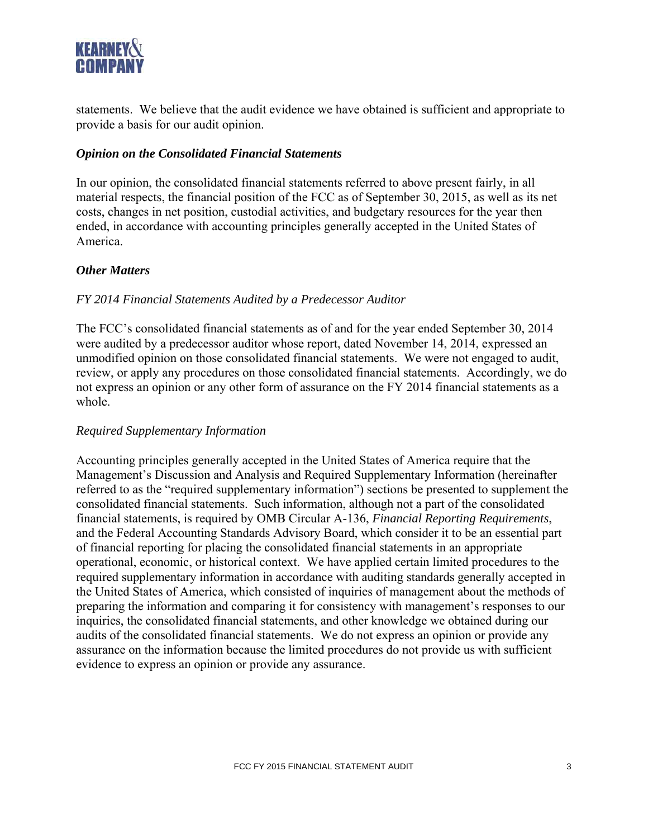

statements. We believe that the audit evidence we have obtained is sufficient and appropriate to provide a basis for our audit opinion.

#### *Opinion on the Consolidated Financial Statements*

In our opinion, the consolidated financial statements referred to above present fairly, in all material respects, the financial position of the FCC as of September 30, 2015, as well as its net costs, changes in net position, custodial activities, and budgetary resources for the year then ended, in accordance with accounting principles generally accepted in the United States of America.

#### *Other Matters*

#### *FY 2014 Financial Statements Audited by a Predecessor Auditor*

 unmodified opinion on those consolidated financial statements. We were not engaged to audit, The FCC's consolidated financial statements as of and for the year ended September 30, 2014 were audited by a predecessor auditor whose report, dated November 14, 2014, expressed an review, or apply any procedures on those consolidated financial statements. Accordingly, we do not express an opinion or any other form of assurance on the FY 2014 financial statements as a whole.

#### *Required Supplementary Information*

Accounting principles generally accepted in the United States of America require that the Management's Discussion and Analysis and Required Supplementary Information (hereinafter referred to as the "required supplementary information") sections be presented to supplement the consolidated financial statements. Such information, although not a part of the consolidated financial statements, is required by OMB Circular A-136, *Financial Reporting Requirements*, and the Federal Accounting Standards Advisory Board, which consider it to be an essential part of financial reporting for placing the consolidated financial statements in an appropriate operational, economic, or historical context. We have applied certain limited procedures to the required supplementary information in accordance with auditing standards generally accepted in the United States of America, which consisted of inquiries of management about the methods of preparing the information and comparing it for consistency with management's responses to our inquiries, the consolidated financial statements, and other knowledge we obtained during our audits of the consolidated financial statements. We do not express an opinion or provide any assurance on the information because the limited procedures do not provide us with sufficient evidence to express an opinion or provide any assurance.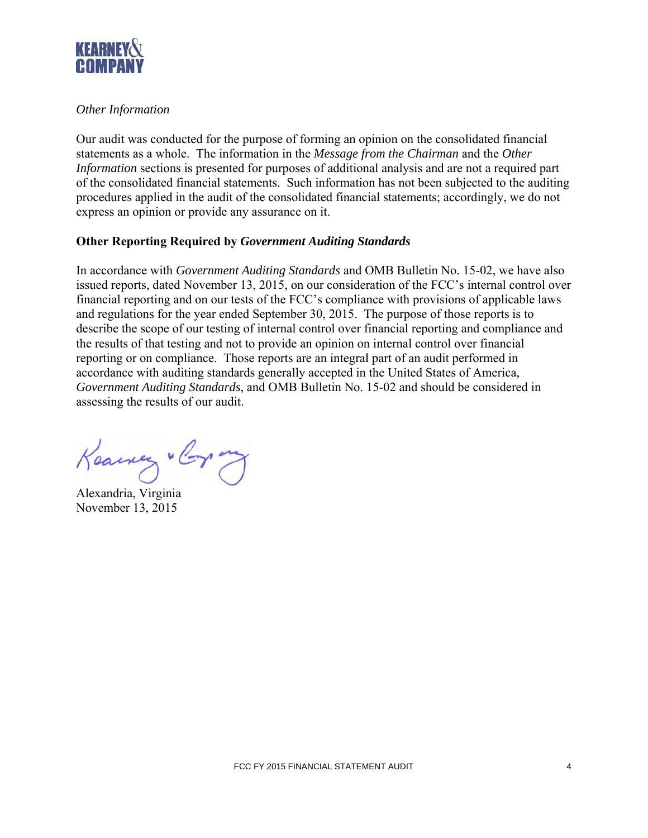

#### *Other Information*

Our audit was conducted for the purpose of forming an opinion on the consolidated financial statements as a whole. The information in the *Message from the Chairman* and the *Other Information* sections is presented for purposes of additional analysis and are not a required part of the consolidated financial statements. Such information has not been subjected to the auditing procedures applied in the audit of the consolidated financial statements; accordingly, we do not express an opinion or provide any assurance on it.

#### **Other Reporting Required by** *Government Auditing Standards*

 reporting or on compliance. Those reports are an integral part of an audit performed in In accordance with *Government Auditing Standards* and OMB Bulletin No. 15-02, we have also issued reports, dated November 13, 2015, on our consideration of the FCC's internal control over financial reporting and on our tests of the FCC's compliance with provisions of applicable laws and regulations for the year ended September 30, 2015. The purpose of those reports is to describe the scope of our testing of internal control over financial reporting and compliance and the results of that testing and not to provide an opinion on internal control over financial accordance with auditing standards generally accepted in the United States of America, *Government Auditing Standards*, and OMB Bulletin No. 15-02 and should be considered in assessing the results of our audit.

Keawery " Cory

Alexandria, Virginia November 13, 2015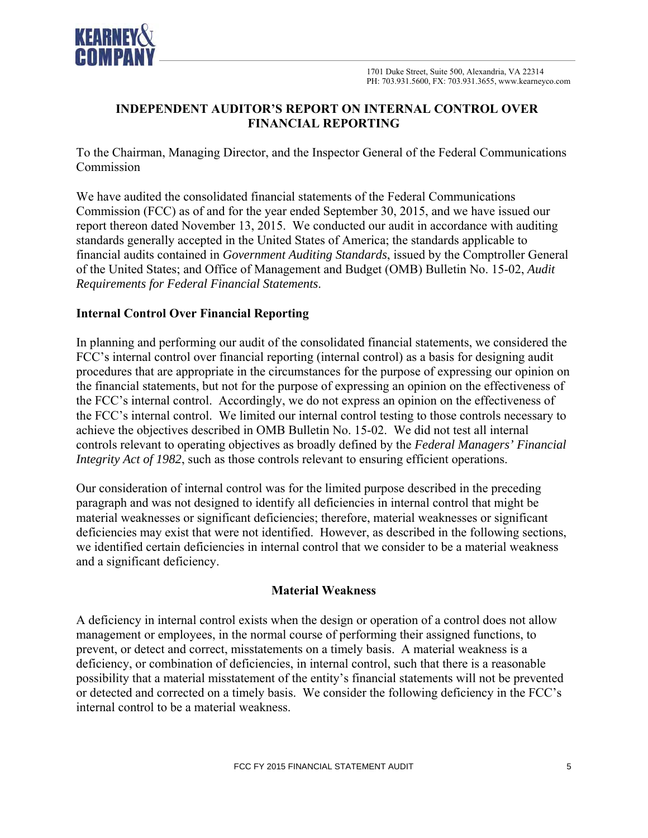

#### **FINANCIAL REPORTING INDEPENDENT AUDITOR'S REPORT ON INTERNAL CONTROL OVER**

To the Chairman, Managing Director, and the Inspector General of the Federal Communications Commission

 Commission (FCC) as of and for the year ended September 30, 2015, and we have issued our We have audited the consolidated financial statements of the Federal Communications report thereon dated November 13, 2015. We conducted our audit in accordance with auditing standards generally accepted in the United States of America; the standards applicable to financial audits contained in *Government Auditing Standards*, issued by the Comptroller General of the United States; and Office of Management and Budget (OMB) Bulletin No. 15-02, *Audit Requirements for Federal Financial Statements*.

#### **Internal Control Over Financial Reporting**

In planning and performing our audit of the consolidated financial statements, we considered the FCC's internal control over financial reporting (internal control) as a basis for designing audit procedures that are appropriate in the circumstances for the purpose of expressing our opinion on the financial statements, but not for the purpose of expressing an opinion on the effectiveness of the FCC's internal control. Accordingly, we do not express an opinion on the effectiveness of the FCC's internal control. We limited our internal control testing to those controls necessary to achieve the objectives described in OMB Bulletin No. 15-02. We did not test all internal controls relevant to operating objectives as broadly defined by the *Federal Managers' Financial Integrity Act of 1982*, such as those controls relevant to ensuring efficient operations.

Our consideration of internal control was for the limited purpose described in the preceding paragraph and was not designed to identify all deficiencies in internal control that might be material weaknesses or significant deficiencies; therefore, material weaknesses or significant deficiencies may exist that were not identified. However, as described in the following sections, we identified certain deficiencies in internal control that we consider to be a material weakness and a significant deficiency.

#### **Material Weakness**

 A deficiency in internal control exists when the design or operation of a control does not allow management or employees, in the normal course of performing their assigned functions, to prevent, or detect and correct, misstatements on a timely basis. A material weakness is a deficiency, or combination of deficiencies, in internal control, such that there is a reasonable possibility that a material misstatement of the entity's financial statements will not be prevented or detected and corrected on a timely basis. We consider the following deficiency in the FCC's internal control to be a material weakness.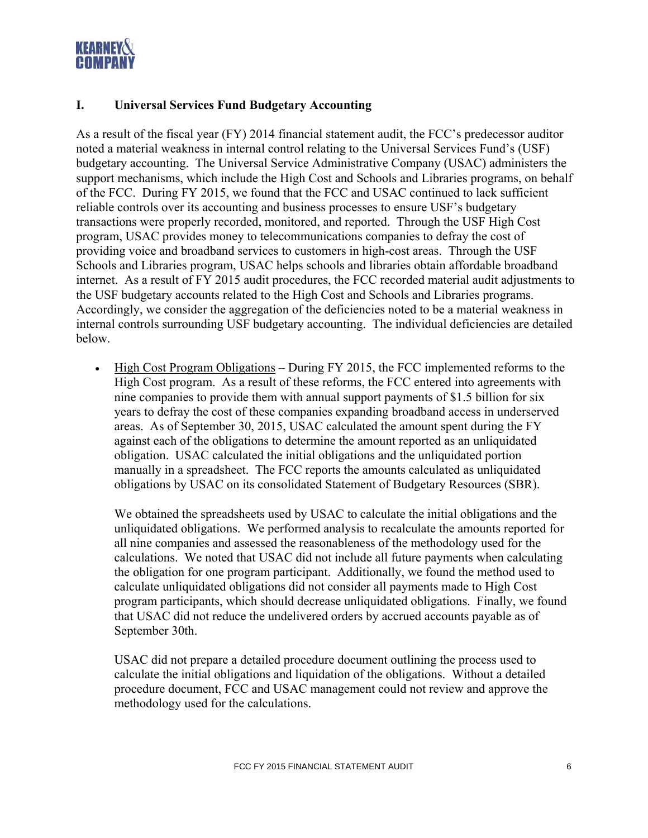

#### **I. Universal Services Fund Budgetary Accounting**

As a result of the fiscal year (FY) 2014 financial statement audit, the FCC's predecessor auditor noted a material weakness in internal control relating to the Universal Services Fund's (USF) budgetary accounting. The Universal Service Administrative Company (USAC) administers the support mechanisms, which include the High Cost and Schools and Libraries programs, on behalf of the FCC. During FY 2015, we found that the FCC and USAC continued to lack sufficient reliable controls over its accounting and business processes to ensure USF's budgetary transactions were properly recorded, monitored, and reported. Through the USF High Cost program, USAC provides money to telecommunications companies to defray the cost of providing voice and broadband services to customers in high-cost areas. Through the USF Schools and Libraries program, USAC helps schools and libraries obtain affordable broadband internet. As a result of FY 2015 audit procedures, the FCC recorded material audit adjustments to the USF budgetary accounts related to the High Cost and Schools and Libraries programs. Accordingly, we consider the aggregation of the deficiencies noted to be a material weakness in internal controls surrounding USF budgetary accounting. The individual deficiencies are detailed below.

 $\text{-}$  High Cost Program Obligations – During FY 2015, the FCC implemented reforms to the High Cost program. As a result of these reforms, the FCC entered into agreements with nine companies to provide them with annual support payments of \$1.5 billion for six years to defray the cost of these companies expanding broadband access in underserved areas. As of September 30, 2015, USAC calculated the amount spent during the FY against each of the obligations to determine the amount reported as an unliquidated obligation. USAC calculated the initial obligations and the unliquidated portion manually in a spreadsheet. The FCC reports the amounts calculated as unliquidated obligations by USAC on its consolidated Statement of Budgetary Resources (SBR).

 unliquidated obligations. We performed analysis to recalculate the amounts reported for We obtained the spreadsheets used by USAC to calculate the initial obligations and the all nine companies and assessed the reasonableness of the methodology used for the calculations. We noted that USAC did not include all future payments when calculating the obligation for one program participant. Additionally, we found the method used to calculate unliquidated obligations did not consider all payments made to High Cost program participants, which should decrease unliquidated obligations. Finally, we found that USAC did not reduce the undelivered orders by accrued accounts payable as of September 30th.

USAC did not prepare a detailed procedure document outlining the process used to calculate the initial obligations and liquidation of the obligations. Without a detailed procedure document, FCC and USAC management could not review and approve the methodology used for the calculations.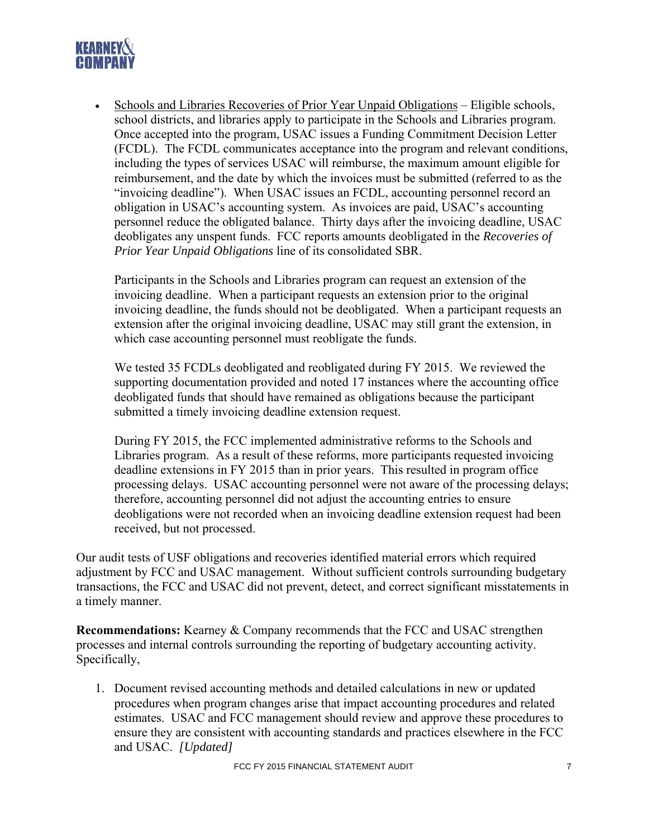

Schools and Libraries Recoveries of Prior Year Unpaid Obligations - Eligible schools, school districts, and libraries apply to participate in the Schools and Libraries program. Once accepted into the program, USAC issues a Funding Commitment Decision Letter (FCDL). The FCDL communicates acceptance into the program and relevant conditions, including the types of services USAC will reimburse, the maximum amount eligible for reimbursement, and the date by which the invoices must be submitted (referred to as the "invoicing deadline"). When USAC issues an FCDL, accounting personnel record an obligation in USAC's accounting system. As invoices are paid, USAC's accounting personnel reduce the obligated balance. Thirty days after the invoicing deadline, USAC deobligates any unspent funds. FCC reports amounts deobligated in the *Recoveries of Prior Year Unpaid Obligations* line of its consolidated SBR.

Participants in the Schools and Libraries program can request an extension of the invoicing deadline. When a participant requests an extension prior to the original invoicing deadline, the funds should not be deobligated. When a participant requests an extension after the original invoicing deadline, USAC may still grant the extension, in which case accounting personnel must reobligate the funds.

We tested 35 FCDLs deobligated and reobligated during FY 2015. We reviewed the supporting documentation provided and noted 17 instances where the accounting office deobligated funds that should have remained as obligations because the participant submitted a timely invoicing deadline extension request.

During FY 2015, the FCC implemented administrative reforms to the Schools and Libraries program. As a result of these reforms, more participants requested invoicing deadline extensions in FY 2015 than in prior years. This resulted in program office processing delays. USAC accounting personnel were not aware of the processing delays; therefore, accounting personnel did not adjust the accounting entries to ensure deobligations were not recorded when an invoicing deadline extension request had been received, but not processed.

Our audit tests of USF obligations and recoveries identified material errors which required adjustment by FCC and USAC management. Without sufficient controls surrounding budgetary transactions, the FCC and USAC did not prevent, detect, and correct significant misstatements in a timely manner.

Specifically, **Recommendations:** Kearney & Company recommends that the FCC and USAC strengthen processes and internal controls surrounding the reporting of budgetary accounting activity.

Specifically,<br>1. Document revised accounting methods and detailed calculations in new or updated procedures when program changes arise that impact accounting procedures and related estimates. USAC and FCC management should review and approve these procedures to ensure they are consistent with accounting standards and practices elsewhere in the FCC and USAC. *[Updated]*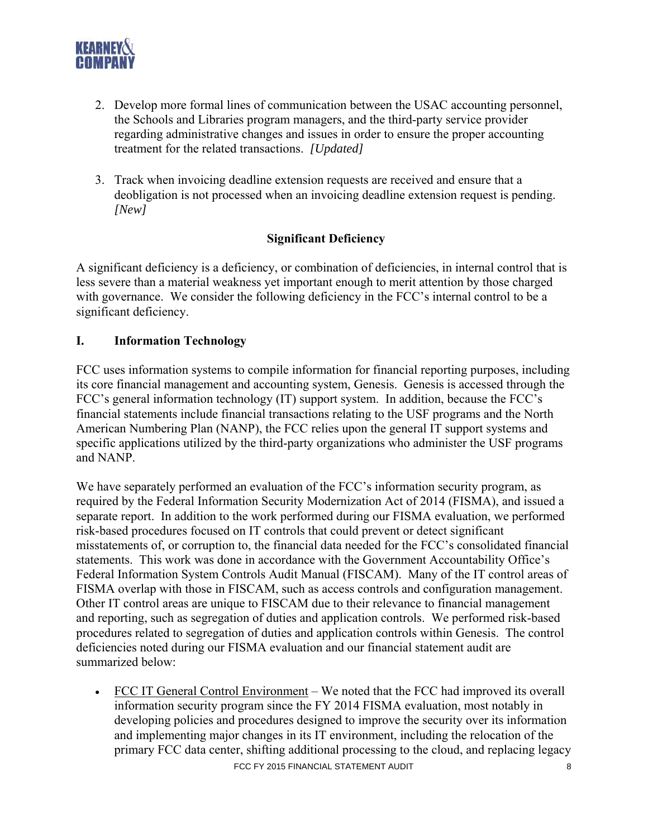

- treatment for the related transactions. *[Updated]*  2. Develop more formal lines of communication between the USAC accounting personnel, the Schools and Libraries program managers, and the third-party service provider regarding administrative changes and issues in order to ensure the proper accounting
- 3. Track when invoicing deadline extension requests are received and ensure that a deobligation is not processed when an invoicing deadline extension request is pending. *[New]*

#### **Significant Deficiency**

 with governance. We consider the following deficiency in the FCC's internal control to be a A significant deficiency is a deficiency, or combination of deficiencies, in internal control that is less severe than a material weakness yet important enough to merit attention by those charged significant deficiency.

#### **I. Information Technology**

FCC uses information systems to compile information for financial reporting purposes, including its core financial management and accounting system, Genesis. Genesis is accessed through the FCC's general information technology (IT) support system. In addition, because the FCC's financial statements include financial transactions relating to the USF programs and the North American Numbering Plan (NANP), the FCC relies upon the general IT support systems and specific applications utilized by the third-party organizations who administer the USF programs and NANP.

 procedures related to segregation of duties and application controls within Genesis. The control We have separately performed an evaluation of the FCC's information security program, as required by the Federal Information Security Modernization Act of 2014 (FISMA), and issued a separate report. In addition to the work performed during our FISMA evaluation, we performed risk-based procedures focused on IT controls that could prevent or detect significant misstatements of, or corruption to, the financial data needed for the FCC's consolidated financial statements. This work was done in accordance with the Government Accountability Office's Federal Information System Controls Audit Manual (FISCAM). Many of the IT control areas of FISMA overlap with those in FISCAM, such as access controls and configuration management. Other IT control areas are unique to FISCAM due to their relevance to financial management and reporting, such as segregation of duties and application controls. We performed risk-based deficiencies noted during our FISMA evaluation and our financial statement audit are summarized below:

FCC IT General Control Environment – We noted that the FCC had improved its overall information security program since the FY 2014 FISMA evaluation, most notably in developing policies and procedures designed to improve the security over its information and implementing major changes in its IT environment, including the relocation of the primary FCC data center, shifting additional processing to the cloud, and replacing legacy FCC FY 2015 FINANCIAL STATEMENT AUDIT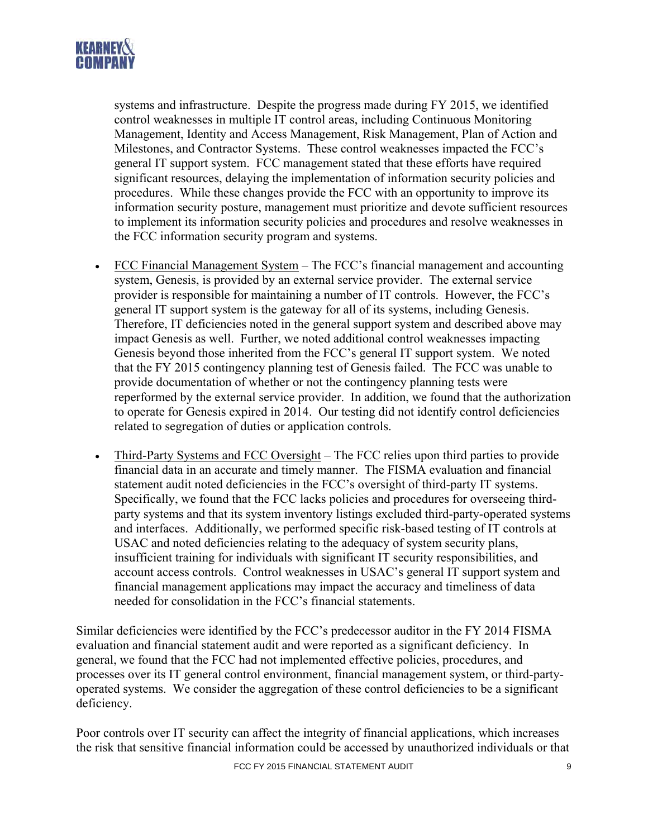

systems and infrastructure. Despite the progress made during FY 2015, we identified control weaknesses in multiple IT control areas, including Continuous Monitoring Management, Identity and Access Management, Risk Management, Plan of Action and Milestones, and Contractor Systems. These control weaknesses impacted the FCC's general IT support system. FCC management stated that these efforts have required significant resources, delaying the implementation of information security policies and procedures. While these changes provide the FCC with an opportunity to improve its information security posture, management must prioritize and devote sufficient resources to implement its information security policies and procedures and resolve weaknesses in the FCC information security program and systems.

- $\bullet$  FCC Financial Management System – The FCC's financial management and accounting system, Genesis, is provided by an external service provider. The external service provider is responsible for maintaining a number of IT controls. However, the FCC's general IT support system is the gateway for all of its systems, including Genesis. Therefore, IT deficiencies noted in the general support system and described above may impact Genesis as well. Further, we noted additional control weaknesses impacting Genesis beyond those inherited from the FCC's general IT support system. We noted that the FY 2015 contingency planning test of Genesis failed. The FCC was unable to provide documentation of whether or not the contingency planning tests were reperformed by the external service provider. In addition, we found that the authorization to operate for Genesis expired in 2014. Our testing did not identify control deficiencies related to segregation of duties or application controls.
- and interfaces. Additionally, we performed specific risk-based testing of IT controls at USAC and noted deficiencies relating to the adequacy of system security plans,  $\bullet$  Third-Party Systems and FCC Oversight – The FCC relies upon third parties to provide financial data in an accurate and timely manner. The FISMA evaluation and financial statement audit noted deficiencies in the FCC's oversight of third-party IT systems. Specifically, we found that the FCC lacks policies and procedures for overseeing thirdparty systems and that its system inventory listings excluded third-party-operated systems insufficient training for individuals with significant IT security responsibilities, and account access controls. Control weaknesses in USAC's general IT support system and financial management applications may impact the accuracy and timeliness of data needed for consolidation in the FCC's financial statements.

Similar deficiencies were identified by the FCC's predecessor auditor in the FY 2014 FISMA evaluation and financial statement audit and were reported as a significant deficiency. In general, we found that the FCC had not implemented effective policies, procedures, and processes over its IT general control environment, financial management system, or third-partyoperated systems. We consider the aggregation of these control deficiencies to be a significant deficiency.

Poor controls over IT security can affect the integrity of financial applications, which increases the risk that sensitive financial information could be accessed by unauthorized individuals or that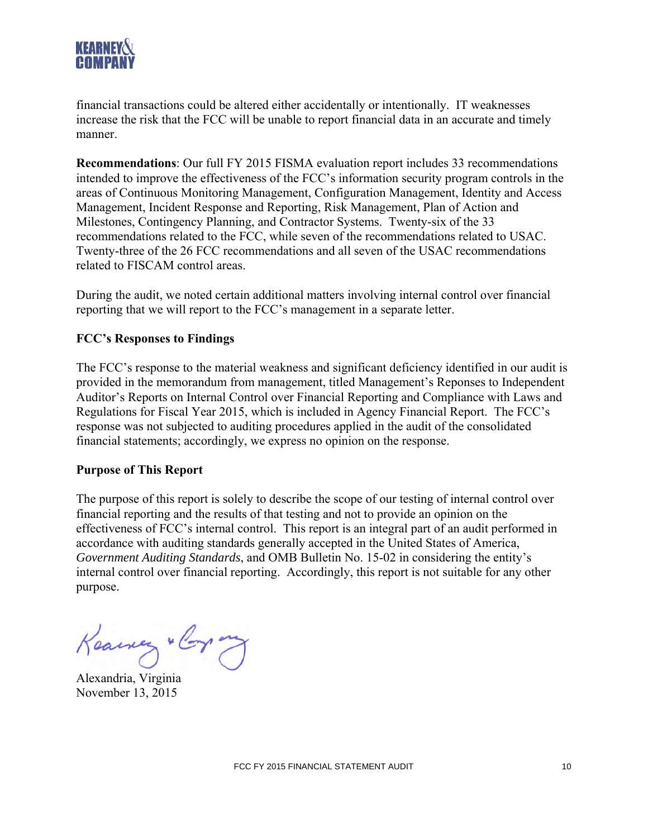

financial transactions could be altered either accidentally or intentionally. IT weaknesses increase the risk that the FCC will be unable to report financial data in an accurate and timely manner.

 Milestones, Contingency Planning, and Contractor Systems. Twenty-six of the 33 **Recommendations**: Our full FY 2015 FISMA evaluation report includes 33 recommendations intended to improve the effectiveness of the FCC's information security program controls in the areas of Continuous Monitoring Management, Configuration Management, Identity and Access Management, Incident Response and Reporting, Risk Management, Plan of Action and recommendations related to the FCC, while seven of the recommendations related to USAC. Twenty-three of the 26 FCC recommendations and all seven of the USAC recommendations related to FISCAM control areas.

During the audit, we noted certain additional matters involving internal control over financial reporting that we will report to the FCC's management in a separate letter.

#### **FCC's Responses to Findings**

 provided in the memorandum from management, titled Management's Reponses to Independent The FCC's response to the material weakness and significant deficiency identified in our audit is Auditor's Reports on Internal Control over Financial Reporting and Compliance with Laws and Regulations for Fiscal Year 2015, which is included in Agency Financial Report. The FCC's response was not subjected to auditing procedures applied in the audit of the consolidated financial statements; accordingly, we express no opinion on the response.

#### **Purpose of This Report**

 effectiveness of FCC's internal control. This report is an integral part of an audit performed in The purpose of this report is solely to describe the scope of our testing of internal control over financial reporting and the results of that testing and not to provide an opinion on the accordance with auditing standards generally accepted in the United States of America, *Government Auditing Standards*, and OMB Bulletin No. 15-02 in considering the entity's internal control over financial reporting. Accordingly, this report is not suitable for any other purpose.

Keawery " Cory ony

Alexandria, Virginia November 13, 2015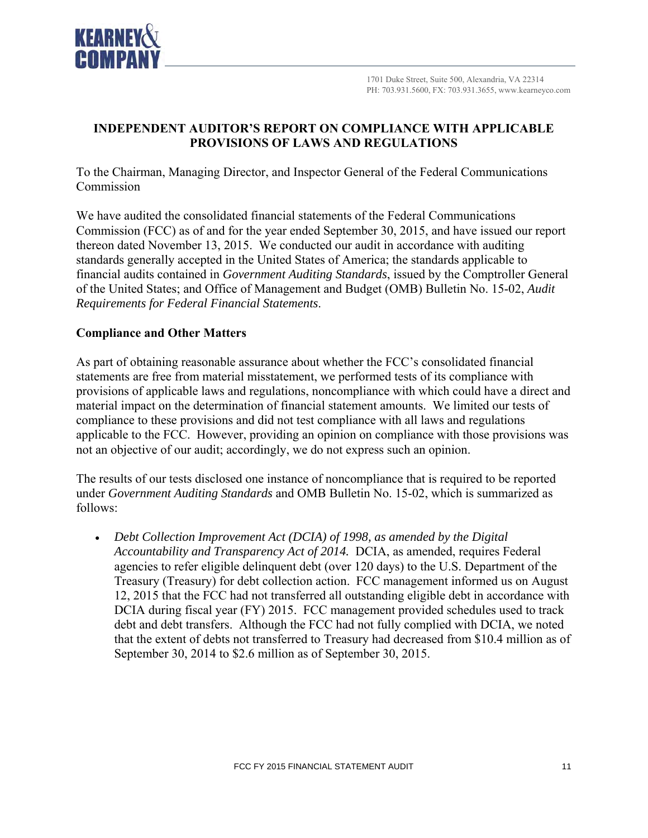

## **PROVISIONS OF LAWS AND REGULATIONS INDEPENDENT AUDITOR'S REPORT ON COMPLIANCE WITH APPLICABLE**

To the Chairman, Managing Director, and Inspector General of the Federal Communications Commission

We have audited the consolidated financial statements of the Federal Communications Commission (FCC) as of and for the year ended September 30, 2015, and have issued our report thereon dated November 13, 2015. We conducted our audit in accordance with auditing standards generally accepted in the United States of America; the standards applicable to financial audits contained in *Government Auditing Standards*, issued by the Comptroller General of the United States; and Office of Management and Budget (OMB) Bulletin No. 15-02, *Audit Requirements for Federal Financial Statements*.

#### **Compliance and Other Matters**

As part of obtaining reasonable assurance about whether the FCC's consolidated financial statements are free from material misstatement, we performed tests of its compliance with provisions of applicable laws and regulations, noncompliance with which could have a direct and material impact on the determination of financial statement amounts. We limited our tests of compliance to these provisions and did not test compliance with all laws and regulations applicable to the FCC. However, providing an opinion on compliance with those provisions was not an objective of our audit; accordingly, we do not express such an opinion.

The results of our tests disclosed one instance of noncompliance that is required to be reported under *Government Auditing Standards* and OMB Bulletin No. 15-02, which is summarized as follows:

 Treasury (Treasury) for debt collection action. FCC management informed us on August *Debt Collection Improvement Act (DCIA) of 1998, as amended by the Digital Accountability and Transparency Act of 2014.* DCIA, as amended, requires Federal agencies to refer eligible delinquent debt (over 120 days) to the U.S. Department of the 12, 2015 that the FCC had not transferred all outstanding eligible debt in accordance with DCIA during fiscal year (FY) 2015. FCC management provided schedules used to track debt and debt transfers. Although the FCC had not fully complied with DCIA, we noted that the extent of debts not transferred to Treasury had decreased from \$10.4 million as of September 30, 2014 to \$2.6 million as of September 30, 2015.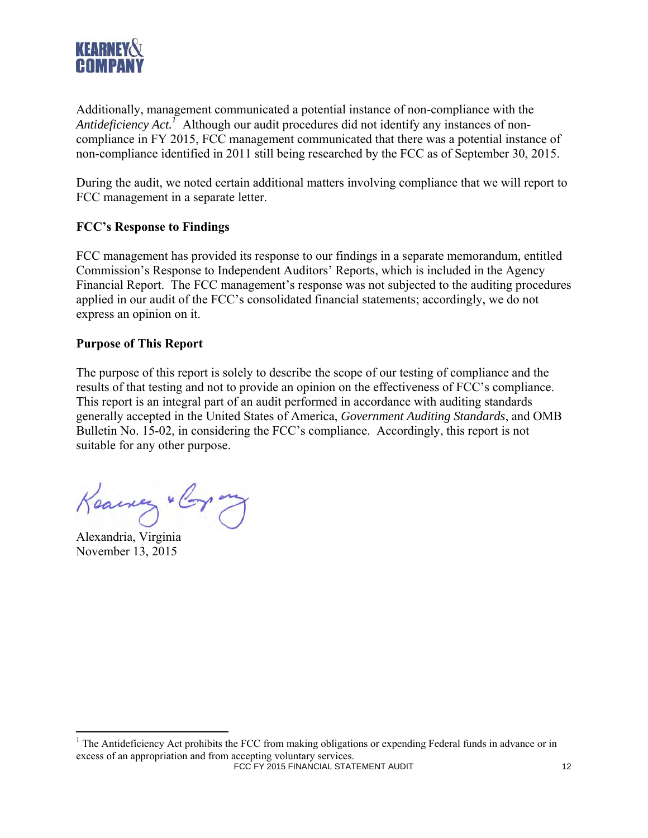

Additionally, management communicated a potential instance of non-compliance with the Antideficiency Act.<sup>1</sup> Although our audit procedures did not identify any instances of noncompliance in FY 2015, FCC management communicated that there was a potential instance of non-compliance identified in 2011 still being researched by the FCC as of September 30, 2015.

During the audit, we noted certain additional matters involving compliance that we will report to FCC management in a separate letter.

#### **FCC's Response to Findings**

FCC management has provided its response to our findings in a separate memorandum, entitled Commission's Response to Independent Auditors' Reports, which is included in the Agency Financial Report. The FCC management's response was not subjected to the auditing procedures applied in our audit of the FCC's consolidated financial statements; accordingly, we do not express an opinion on it.

#### **Purpose of This Report**

The purpose of this report is solely to describe the scope of our testing of compliance and the results of that testing and not to provide an opinion on the effectiveness of FCC's compliance. This report is an integral part of an audit performed in accordance with auditing standards generally accepted in the United States of America, *Government Auditing Standards*, and OMB Bulletin No. 15-02, in considering the FCC's compliance. Accordingly, this report is not suitable for any other purpose.

Keawer " Cor og

Alexandria, Virginia November 13, 2015

<sup>&</sup>lt;sup>1</sup> The Antideficiency Act prohibits the FCC from making obligations or expending Federal funds in advance or in excess of an appropriation and from accepting voluntary services.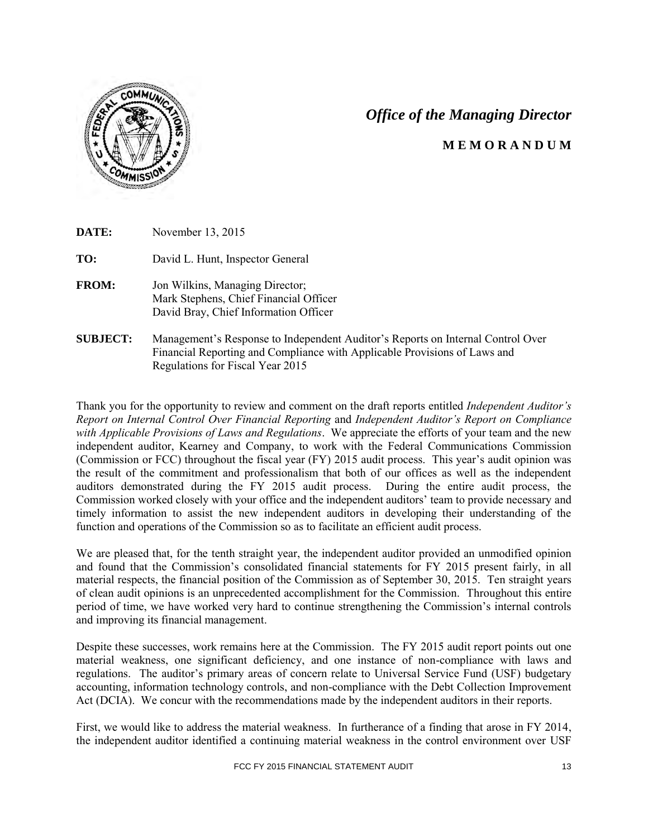

# *Office of the Managing Director*

#### **M E M O R A N D U M**

| <b>DATE:</b>    | November 13, 2015                                                                                                                                            |
|-----------------|--------------------------------------------------------------------------------------------------------------------------------------------------------------|
| TO:             | David L. Hunt, Inspector General                                                                                                                             |
| <b>FROM:</b>    | Jon Wilkins, Managing Director;<br>Mark Stephens, Chief Financial Officer<br>David Bray, Chief Information Officer                                           |
| <b>SUBJECT:</b> | Management's Response to Independent Auditor's Reports on Internal Control Over<br>Financial Reporting and Compliance with Applicable Provisions of Laws and |

Regulations for Fiscal Year 2015

 Thank you for the opportunity to review and comment on the draft reports entitled *Independent Auditor's Report on Internal Control Over Financial Reporting* and *Independent Auditor's Report on Compliance with Applicable Provisions of Laws and Regulations*. We appreciate the efforts of your team and the new (Commission or FCC) throughout the fiscal year (FY) 2015 audit process. This year's audit opinion was the result of the commitment and professionalism that both of our offices as well as the independent auditors demonstrated during the FY 2015 audit process. During the entire audit process, the Commission worked closely with your office and the independent auditors' team to provide necessary and timely information to assist the new independent auditors in developing their understanding of the function and operations of the Commission so as to facilitate an efficient audit process. independent auditor, Kearney and Company, to work with the Federal Communications Commission

 We are pleased that, for the tenth straight year, the independent auditor provided an unmodified opinion and found that the Commission's consolidated financial statements for FY 2015 present fairly, in all material respects, the financial position of the Commission as of September 30, 2015. Ten straight years of clean audit opinions is an unprecedented accomplishment for the Commission. Throughout this entire period of time, we have worked very hard to continue strengthening the Commission's internal controls and improving its financial management.

 Despite these successes, work remains here at the Commission. The FY 2015 audit report points out one material weakness, one significant deficiency, and one instance of non-compliance with laws and regulations. The auditor's primary areas of concern relate to Universal Service Fund (USF) budgetary accounting, information technology controls, and non-compliance with the Debt Collection Improvement Act (DCIA). We concur with the recommendations made by the independent auditors in their reports.

 First, we would like to address the material weakness. In furtherance of a finding that arose in FY 2014, the independent auditor identified a continuing material weakness in the control environment over USF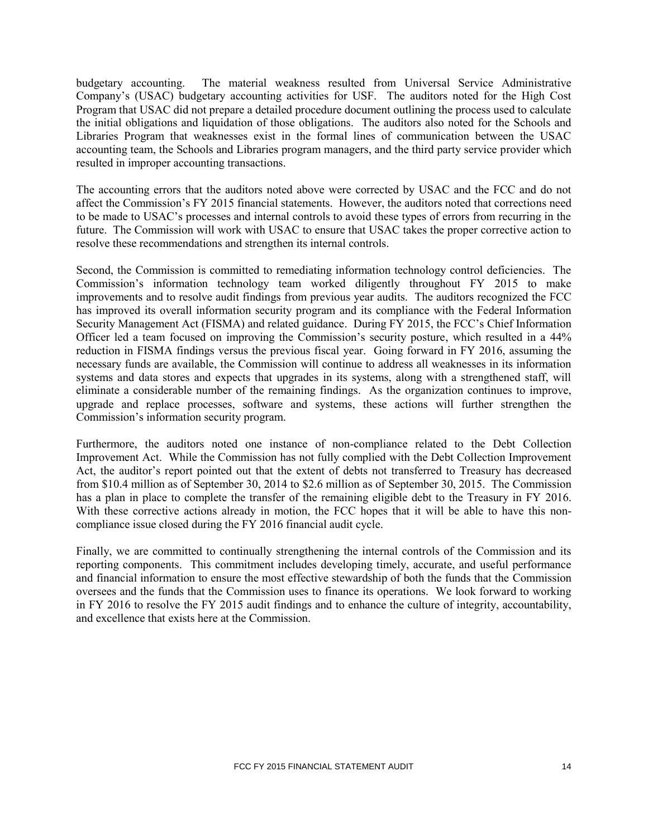budgetary accounting. Company's (USAC) budgetary accounting activities for USF. The auditors noted for the High Cost the initial obligations and liquidation of those obligations. The auditors also noted for the Schools and Libraries Program that weaknesses exist in the formal lines of communication between the USAC accounting team, the Schools and Libraries program managers, and the third party service provider which The material weakness resulted from Universal Service Administrative Program that USAC did not prepare a detailed procedure document outlining the process used to calculate resulted in improper accounting transactions.

 The accounting errors that the auditors noted above were corrected by USAC and the FCC and do not affect the Commission's FY 2015 financial statements. However, the auditors noted that corrections need to be made to USAC's processes and internal controls to avoid these types of errors from recurring in the future. The Commission will work with USAC to ensure that USAC takes the proper corrective action to resolve these recommendations and strengthen its internal controls.

 Second, the Commission is committed to remediating information technology control deficiencies. The Commission's information technology team worked diligently throughout FY 2015 to make improvements and to resolve audit findings from previous year audits. The auditors recognized the FCC has improved its overall information security program and its compliance with the Federal Information Security Management Act (FISMA) and related guidance. During FY 2015, the FCC's Chief Information Officer led a team focused on improving the Commission's security posture, which resulted in a 44% reduction in FISMA findings versus the previous fiscal year. Going forward in FY 2016, assuming the necessary funds are available, the Commission will continue to address all weaknesses in its information systems and data stores and expects that upgrades in its systems, along with a strengthened staff, will eliminate a considerable number of the remaining findings. As the organization continues to improve, upgrade and replace processes, software and systems, these actions will further strengthen the Commission's information security program.

Commission's information security program.<br>Furthermore, the auditors noted one instance of non-compliance related to the Debt Collection Improvement Act. While the Commission has not fully complied with the Debt Collection Improvement Act, the auditor's report pointed out that the extent of debts not transferred to Treasury has decreased from \$10.4 million as of September 30, 2014 to \$2.6 million as of September 30, 2015. The Commission has a plan in place to complete the transfer of the remaining eligible debt to the Treasury in FY 2016. With these corrective actions already in motion, the FCC hopes that it will be able to have this non-compliance issue closed during the FY 2016 financial audit cycle.

 Finally, we are committed to continually strengthening the internal controls of the Commission and its and financial information to ensure the most effective stewardship of both the funds that the Commission oversees and the funds that the Commission uses to finance its operations. We look forward to working in FY 2016 to resolve the FY 2015 audit findings and to enhance the culture of integrity, accountability, reporting components. This commitment includes developing timely, accurate, and useful performance and excellence that exists here at the Commission.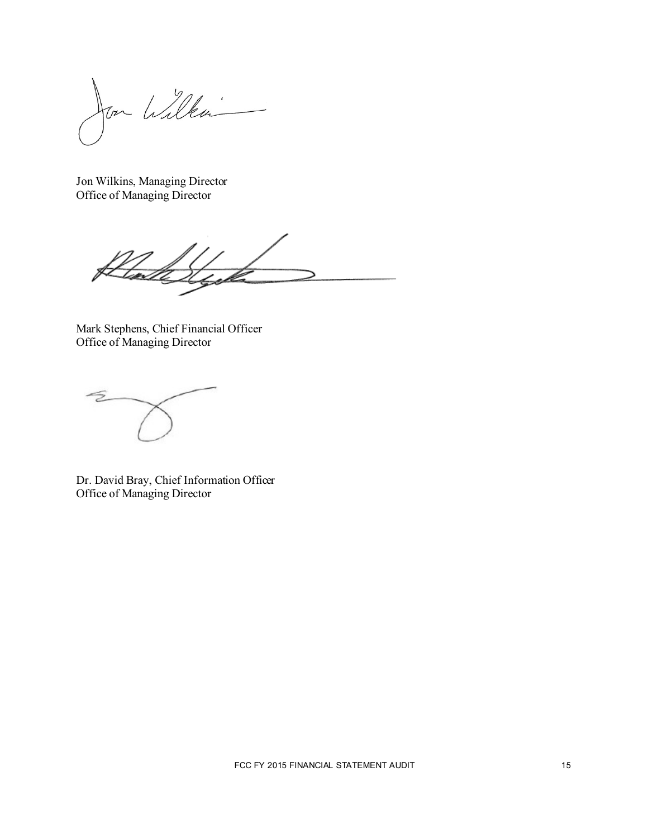con Wilkins

Jon Wilkins, Managing Director Office of Managing Director

f Luda

Mark Stephens, Chief Financial Officer Office of Managing Director

Dr. David Bray, Chief Information Officer Office of Managing Director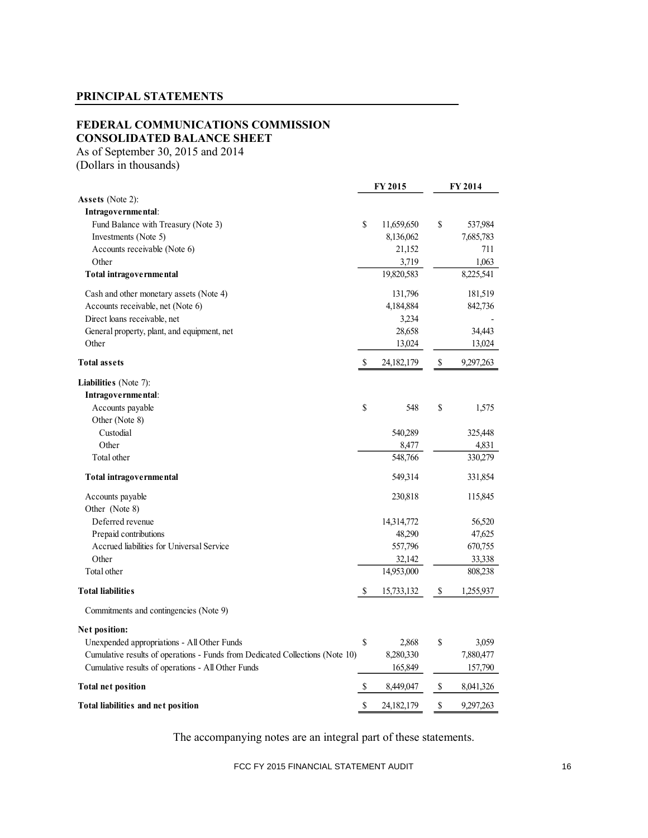#### **PRINCIPAL STATEMENTS**

#### **FEDERAL COMMUNICATIONS COMMISSION CONSOLIDATED BALANCE SHEET**

As of September 30, 2015 and 2014

(Dollars in thousands)

|                                                                               |                           | <b>FY 2015</b> | <b>FY 2014</b> |           |  |
|-------------------------------------------------------------------------------|---------------------------|----------------|----------------|-----------|--|
| <b>Assets</b> (Note 2):                                                       |                           |                |                |           |  |
| Intragovernmental:                                                            |                           |                |                |           |  |
| Fund Balance with Treasury (Note 3)                                           | \$                        | 11,659,650     | \$             | 537,984   |  |
| Investments (Note 5)                                                          |                           | 8,136,062      |                | 7,685,783 |  |
| Accounts receivable (Note 6)                                                  |                           | 21,152         |                | 711       |  |
| Other                                                                         |                           | 3,719          |                | 1,063     |  |
| Total intragovernmental                                                       |                           | 19,820,583     |                | 8,225,541 |  |
| Cash and other monetary assets (Note 4)                                       |                           | 131,796        |                | 181,519   |  |
| Accounts receivable, net (Note 6)                                             |                           | 4,184,884      |                | 842,736   |  |
| Direct loans receivable, net                                                  |                           | 3,234          |                |           |  |
| General property, plant, and equipment, net                                   |                           | 28,658         |                | 34,443    |  |
| Other                                                                         |                           | 13,024         |                | 13,024    |  |
| <b>Total assets</b>                                                           | $\boldsymbol{\mathsf{S}}$ | 24,182,179     | $\mathbb S$    | 9,297,263 |  |
| Liabilities (Note 7):                                                         |                           |                |                |           |  |
| Intragovernmental:                                                            |                           |                |                |           |  |
| Accounts payable                                                              | \$                        | 548            | \$             | 1,575     |  |
| Other (Note 8)                                                                |                           |                |                |           |  |
| Custodial                                                                     |                           | 540,289        |                | 325,448   |  |
| Other                                                                         |                           | 8,477          |                | 4,831     |  |
| Total other                                                                   |                           | 548,766        |                | 330,279   |  |
| Total intragovernmental                                                       |                           | 549,314        |                | 331,854   |  |
| Accounts payable                                                              |                           | 230,818        |                | 115,845   |  |
| Other (Note 8)                                                                |                           |                |                |           |  |
| Deferred revenue                                                              |                           | 14,314,772     |                | 56,520    |  |
| Prepaid contributions                                                         |                           | 48,290         |                | 47,625    |  |
| Accrued liabilities for Universal Service                                     |                           | 557,796        |                | 670,755   |  |
| Other                                                                         |                           | 32,142         |                | 33,338    |  |
| Total other                                                                   |                           | 14,953,000     |                | 808,238   |  |
| <b>Total liabilities</b>                                                      | \$                        | 15,733,132     | $\mathbb S$    | 1,255,937 |  |
| Commitments and contingencies (Note 9)                                        |                           |                |                |           |  |
| Net position:                                                                 |                           |                |                |           |  |
| Unexpended appropriations - All Other Funds                                   | \$                        | 2,868          | \$             | 3,059     |  |
| Cumulative results of operations - Funds from Dedicated Collections (Note 10) |                           | 8,280,330      |                | 7,880,477 |  |
| Cumulative results of operations - All Other Funds                            |                           | 165,849        |                | 157,790   |  |
| <b>Total net position</b>                                                     | \$                        | 8,449,047      | \$             | 8,041,326 |  |
| Total liabilities and net position                                            | \$                        | 24,182,179     | \$             | 9,297,263 |  |

The accompanying notes are an integral part of these statements.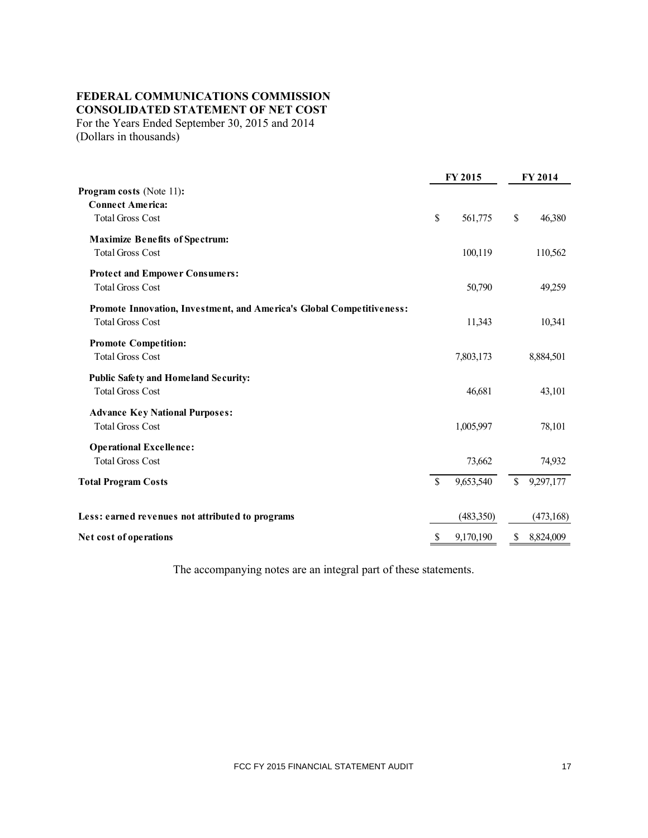# **FEDERAL COMMUNICATIONS COMMISSION**

#### **CONSOLIDATED STATEMENT OF NET COST**

For the Years Ended September 30, 2015 and 2014 (Dollars in thousands)

|                                                                       | FY 2015         | FY 2014         |
|-----------------------------------------------------------------------|-----------------|-----------------|
| Program costs (Note 11):                                              |                 |                 |
| <b>Connect America:</b>                                               |                 |                 |
| <b>Total Gross Cost</b>                                               | \$<br>561,775   | \$<br>46,380    |
| <b>Maximize Benefits of Spectrum:</b>                                 |                 |                 |
| <b>Total Gross Cost</b>                                               | 100,119         | 110,562         |
| <b>Protect and Empower Consumers:</b>                                 |                 |                 |
| <b>Total Gross Cost</b>                                               | 50,790          | 49,259          |
| Promote Innovation, Investment, and America's Global Competitiveness: |                 |                 |
| <b>Total Gross Cost</b>                                               | 11,343          | 10,341          |
| <b>Promote Competition:</b>                                           |                 |                 |
| <b>Total Gross Cost</b>                                               | 7,803,173       | 8,884,501       |
| <b>Public Safety and Homeland Security:</b>                           |                 |                 |
| <b>Total Gross Cost</b>                                               | 46,681          | 43,101          |
| <b>Advance Key National Purposes:</b>                                 |                 |                 |
| <b>Total Gross Cost</b>                                               | 1,005,997       | 78,101          |
| <b>Operational Excellence:</b>                                        |                 |                 |
| <b>Total Gross Cost</b>                                               | 73,662          | 74,932          |
| <b>Total Program Costs</b>                                            | \$<br>9,653,540 | \$<br>9,297,177 |
| Less: earned revenues not attributed to programs                      | (483,350)       | (473, 168)      |
| Net cost of operations                                                | \$<br>9,170,190 | \$<br>8,824,009 |

The accompanying notes are an integral part of these statements.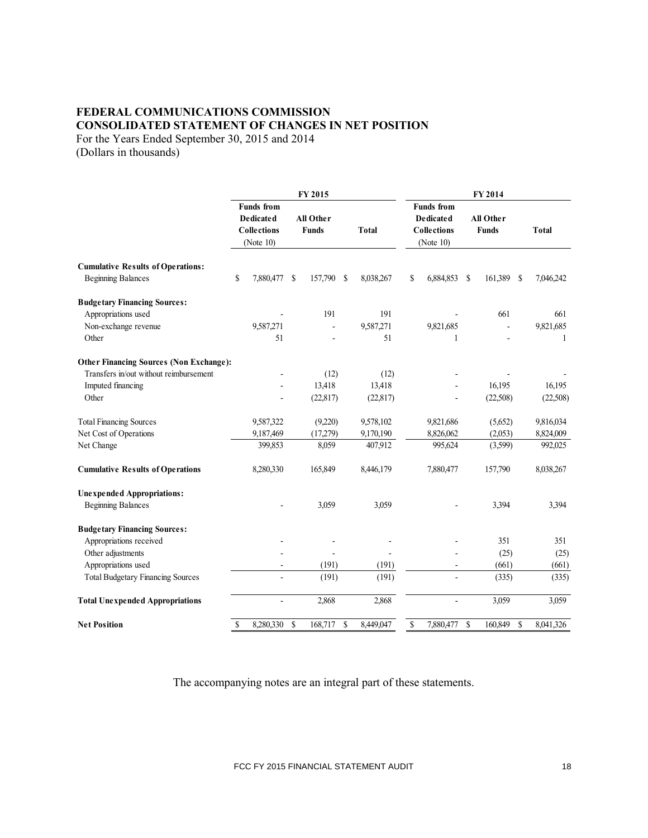# **FEDERAL COMMUNICATIONS COMMISSION CONSOLIDATED STATEMENT OF CHANGES IN NET POSITION**

For the Years Ended September 30, 2015 and 2014 (Dollars in thousands)

|                                                | FY 2015                                                                     |                |    |                                  |    |              | FY 2014                                                                     |                |               |                                  |              |
|------------------------------------------------|-----------------------------------------------------------------------------|----------------|----|----------------------------------|----|--------------|-----------------------------------------------------------------------------|----------------|---------------|----------------------------------|--------------|
|                                                | <b>Funds</b> from<br><b>Dedicated</b><br><b>Collections</b><br>(Note $10$ ) |                |    | <b>All Other</b><br><b>Funds</b> |    | <b>Total</b> | <b>Funds</b> from<br><b>Dedicated</b><br><b>Collections</b><br>(Note $10$ ) |                |               | <b>All Other</b><br><b>Funds</b> | <b>Total</b> |
| <b>Cumulative Results of Operations:</b>       |                                                                             |                |    |                                  |    |              |                                                                             |                |               |                                  |              |
| <b>Beginning Balances</b>                      | \$                                                                          | 7,880,477 \$   |    | 157,790 \$                       |    | 8,038,267    | \$                                                                          | 6,884,853      | <sup>\$</sup> | 161,389<br>$\mathbf{\$}$         | 7,046,242    |
| <b>Budgetary Financing Sources:</b>            |                                                                             |                |    |                                  |    |              |                                                                             |                |               |                                  |              |
| Appropriations used                            |                                                                             |                |    | 191                              |    | 191          |                                                                             |                |               | 661                              | 661          |
| Non-exchange revenue                           |                                                                             | 9,587,271      |    |                                  |    | 9,587,271    |                                                                             | 9,821,685      |               |                                  | 9,821,685    |
| Other                                          |                                                                             | 51             |    |                                  |    | 51           |                                                                             | 1              |               |                                  | 1            |
| <b>Other Financing Sources (Non Exchange):</b> |                                                                             |                |    |                                  |    |              |                                                                             |                |               |                                  |              |
| Transfers in/out without reimbursement         |                                                                             |                |    | (12)                             |    | (12)         |                                                                             |                |               |                                  |              |
| Imputed financing                              |                                                                             | L,             |    | 13,418                           |    | 13,418       |                                                                             |                |               | 16,195                           | 16,195       |
| Other                                          |                                                                             | L,             |    | (22,817)                         |    | (22,817)     |                                                                             |                |               | (22,508)                         | (22,508)     |
| <b>Total Financing Sources</b>                 |                                                                             | 9,587,322      |    | (9,220)                          |    | 9,578,102    |                                                                             | 9,821,686      |               | (5,652)                          | 9,816,034    |
| Net Cost of Operations                         |                                                                             | 9,187,469      |    | (17,279)                         |    | 9,170,190    |                                                                             | 8,826,062      |               | (2,053)                          | 8,824,009    |
| Net Change                                     |                                                                             | 399,853        |    | 8,059                            |    | 407,912      |                                                                             | 995,624        |               | (3,599)                          | 992,025      |
| <b>Cumulative Results of Operations</b>        |                                                                             | 8,280,330      |    | 165,849                          |    | 8,446,179    |                                                                             | 7,880,477      |               | 157,790                          | 8,038,267    |
| <b>Unexpended Appropriations:</b>              |                                                                             |                |    |                                  |    |              |                                                                             |                |               |                                  |              |
| <b>Beginning Balances</b>                      |                                                                             |                |    | 3,059                            |    | 3,059        |                                                                             |                |               | 3,394                            | 3,394        |
| <b>Budgetary Financing Sources:</b>            |                                                                             |                |    |                                  |    |              |                                                                             |                |               |                                  |              |
| Appropriations received                        |                                                                             |                |    |                                  |    |              |                                                                             |                |               | 351                              | 351          |
| Other adjustments                              |                                                                             |                |    |                                  |    |              |                                                                             |                |               | (25)                             | (25)         |
| Appropriations used                            |                                                                             |                |    | (191)                            |    | (191)        |                                                                             |                |               | (661)                            | (661)        |
| <b>Total Budgetary Financing Sources</b>       |                                                                             |                |    | (191)                            |    | (191)        |                                                                             |                |               | (335)                            | (335)        |
| <b>Total Unexpended Appropriations</b>         |                                                                             | $\overline{a}$ |    | 2,868                            |    | 2,868        |                                                                             | $\overline{a}$ |               | 3,059                            | 3,059        |
| <b>Net Position</b>                            | \$                                                                          | 8,280,330      | \$ | 168,717                          | \$ | 8,449,047    | \$                                                                          | 7,880,477      | $\mathcal{S}$ | 160,849<br>\$                    | 8,041,326    |

The accompanying notes are an integral part of these statements.

FCC FY 2015 FINANCIAL STATEMENT AUDIT 18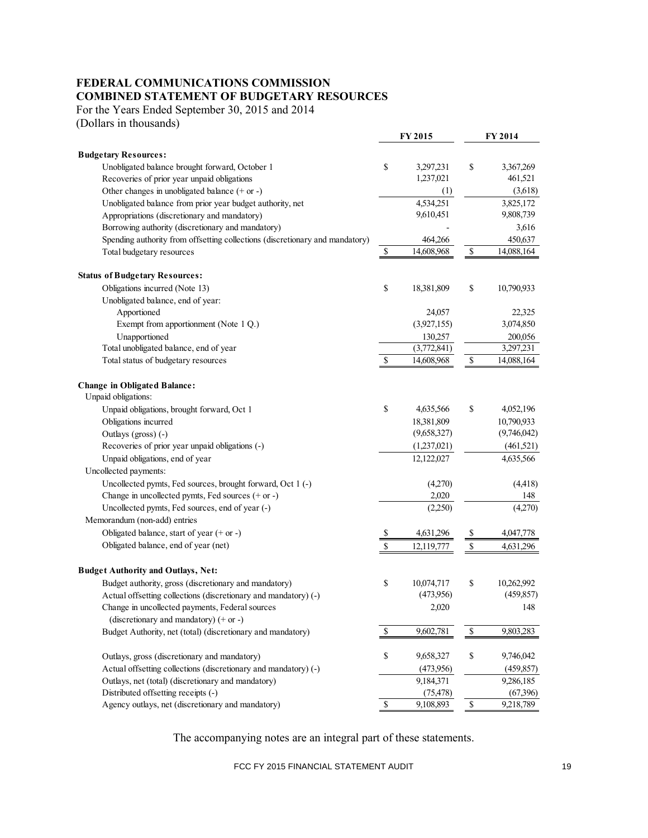#### **FEDERAL COMMUNICATIONS COMMISSION COMBINED STATEMENT OF BUDGETARY RESOURCES**

 (Dollars in thousands) For the Years Ended September 30, 2015 and 2014

|                                                                              |                          | FY 2015     |                                                                       | FY 2014     |
|------------------------------------------------------------------------------|--------------------------|-------------|-----------------------------------------------------------------------|-------------|
| <b>Budgetary Resources:</b>                                                  |                          |             |                                                                       |             |
| Unobligated balance brought forward, October 1                               | \$                       | 3,297,231   | \$                                                                    | 3,367,269   |
| Recoveries of prior year unpaid obligations                                  |                          | 1,237,021   |                                                                       | 461,521     |
| Other changes in unobligated balance $(+ or -)$                              |                          | (1)         |                                                                       | (3,618)     |
| Unobligated balance from prior year budget authority, net                    |                          | 4,534,251   |                                                                       | 3,825,172   |
| Appropriations (discretionary and mandatory)                                 |                          | 9,610,451   |                                                                       | 9,808,739   |
| Borrowing authority (discretionary and mandatory)                            |                          |             |                                                                       | 3,616       |
| Spending authority from offsetting collections (discretionary and mandatory) |                          | 464,266     |                                                                       | 450,637     |
| Total budgetary resources                                                    | \$                       | 14,608,968  | $\mathbb{S}% _{t}\left( t\right) \equiv\mathbb{S}_{t}\left( t\right)$ | 14,088,164  |
| <b>Status of Budgetary Resources:</b>                                        |                          |             |                                                                       |             |
| Obligations incurred (Note 13)                                               | \$                       | 18,381,809  | $\mathbb{S}% _{n}^{X\rightarrow\mathbb{R}}$                           | 10,790,933  |
| Unobligated balance, end of year:                                            |                          |             |                                                                       |             |
| Apportioned                                                                  |                          | 24,057      |                                                                       | 22,325      |
| Exempt from apportionment (Note 1 Q.)                                        |                          | (3,927,155) |                                                                       | 3,074,850   |
| Unapportioned                                                                |                          | 130,257     |                                                                       | 200,056     |
| Total unobligated balance, end of year                                       |                          | (3,772,841) |                                                                       | 3,297,231   |
| Total status of budgetary resources                                          | \$                       | 14,608,968  | $\mathbb{S}$                                                          | 14,088,164  |
| <b>Change in Obligated Balance:</b>                                          |                          |             |                                                                       |             |
| Unpaid obligations:                                                          |                          |             |                                                                       |             |
| Unpaid obligations, brought forward, Oct 1                                   | \$                       | 4,635,566   | \$                                                                    | 4,052,196   |
| Obligations incurred                                                         |                          | 18,381,809  |                                                                       | 10,790,933  |
| Outlays (gross) (-)                                                          |                          | (9,658,327) |                                                                       | (9,746,042) |
| Recoveries of prior year unpaid obligations (-)                              |                          | (1,237,021) |                                                                       | (461,521)   |
| Unpaid obligations, end of year                                              |                          | 12,122,027  |                                                                       | 4,635,566   |
| Uncollected payments:                                                        |                          |             |                                                                       |             |
| Uncollected pymts, Fed sources, brought forward, Oct 1 (-)                   |                          | (4,270)     |                                                                       | (4, 418)    |
| Change in uncollected pymts, Fed sources (+ or -)                            |                          | 2,020       |                                                                       | 148         |
| Uncollected pymts, Fed sources, end of year (-)                              |                          | (2,250)     |                                                                       | (4,270)     |
| Memorandum (non-add) entries                                                 |                          |             |                                                                       |             |
| Obligated balance, start of year (+ or -)                                    | \$                       | 4,631,296   | \$                                                                    | 4,047,778   |
| Obligated balance, end of year (net)                                         | \$                       | 12,119,777  | $\mathbb{S}% _{n}^{X\rightarrow\mathbb{R}}$                           | 4,631,296   |
| <b>Budget Authority and Outlays, Net:</b>                                    |                          |             |                                                                       |             |
| Budget authority, gross (discretionary and mandatory)                        | \$                       | 10,074,717  | \$                                                                    | 10.262,992  |
| Actual offsetting collections (discretionary and mandatory) (-)              |                          | (473,956)   |                                                                       | (459, 857)  |
| Change in uncollected payments, Federal sources                              |                          | 2,020       |                                                                       | 148         |
| (discretionary and mandatory) $(+ or -)$                                     |                          |             |                                                                       |             |
| Budget Authority, net (total) (discretionary and mandatory)                  | $\mathbb{S}$             | 9,602,781   | $\mathbb{S}% _{n}^{X\rightarrow\mathbb{R}}$                           | 9,803,283   |
|                                                                              |                          |             |                                                                       |             |
| Outlays, gross (discretionary and mandatory)                                 | \$                       | 9,658,327   | $\mathbb{S}$                                                          | 9,746,042   |
| Actual offsetting collections (discretionary and mandatory) (-)              |                          | (473,956)   |                                                                       | (459, 857)  |
| Outlays, net (total) (discretionary and mandatory)                           |                          | 9,184,371   |                                                                       | 9,286,185   |
| Distributed offsetting receipts (-)                                          |                          | (75, 478)   |                                                                       | (67,396)    |
| Agency outlays, net (discretionary and mandatory)                            | $\overline{\mathcal{S}}$ | 9,108,893   | $\mathbb{S}% _{t}\left( t\right) \equiv\mathbb{S}_{t}\left( t\right)$ | 9,218,789   |

The accompanying notes are an integral part of these statements.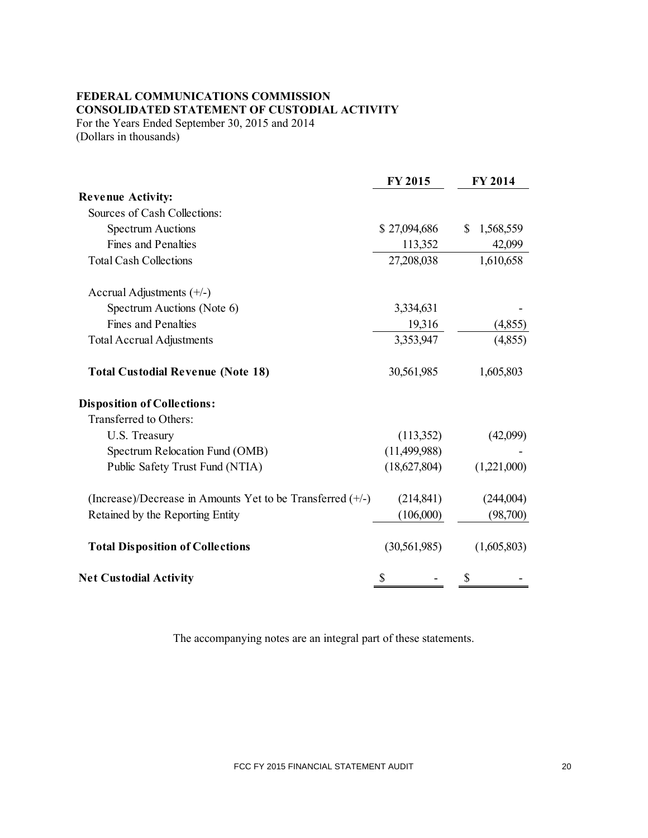#### **FEDERAL COMMUNICATIONS COMMISSION CONSOLIDATED STATEMENT OF CUSTODIAL ACTIVITY**

For the Years Ended September 30, 2015 and 2014 (Dollars in thousands)

|                                                              | FY 2015      | FY 2014         |
|--------------------------------------------------------------|--------------|-----------------|
| <b>Revenue Activity:</b>                                     |              |                 |
| Sources of Cash Collections:                                 |              |                 |
| <b>Spectrum Auctions</b>                                     | \$27,094,686 | 1,568,559<br>\$ |
| Fines and Penalties                                          | 113,352      | 42,099          |
| <b>Total Cash Collections</b>                                | 27,208,038   | 1,610,658       |
| Accrual Adjustments (+/-)                                    |              |                 |
| Spectrum Auctions (Note 6)                                   | 3,334,631    |                 |
| Fines and Penalties                                          | 19,316       | (4,855)         |
| <b>Total Accrual Adjustments</b>                             | 3,353,947    | (4,855)         |
| <b>Total Custodial Revenue (Note 18)</b>                     | 30,561,985   | 1,605,803       |
| <b>Disposition of Collections:</b>                           |              |                 |
| Transferred to Others:                                       |              |                 |
| U.S. Treasury                                                | (113,352)    | (42,099)        |
| Spectrum Relocation Fund (OMB)                               | (11,499,988) |                 |
| Public Safety Trust Fund (NTIA)                              | (18,627,804) | (1,221,000)     |
| (Increase)/Decrease in Amounts Yet to be Transferred $(+/-)$ | (214, 841)   | (244,004)       |
| Retained by the Reporting Entity                             | (106,000)    | (98,700)        |
| <b>Total Disposition of Collections</b>                      | (30,561,985) | (1,605,803)     |
| <b>Net Custodial Activity</b>                                | \$           | \$              |

The accompanying notes are an integral part of these statements.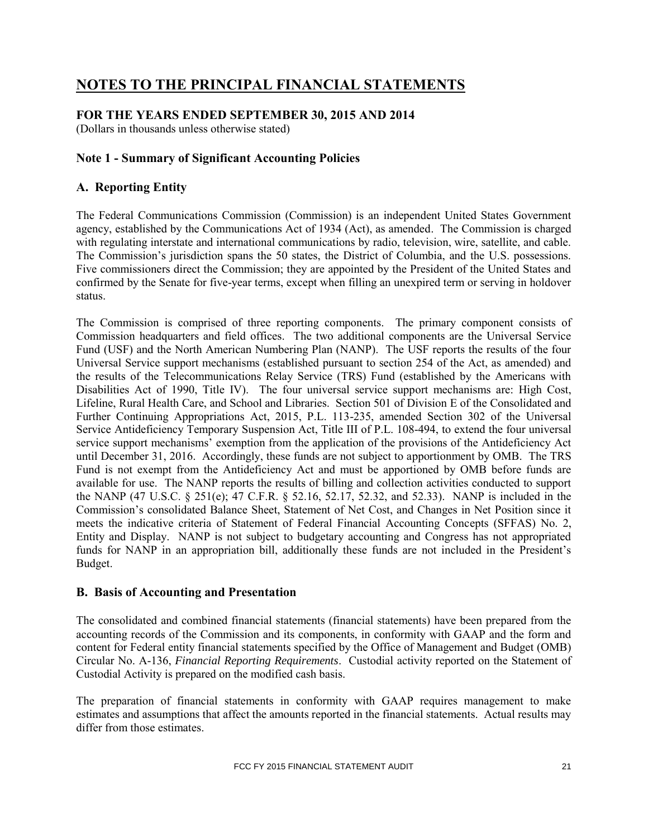# **NOTES TO THE PRINCIPAL FINANCIAL STATEMENTS**

#### **FOR THE YEARS ENDED SEPTEMBER 30, 2015 AND 2014**

(Dollars in thousands unless otherwise stated)

#### **Note 1 - Summary of Significant Accounting Policies**

#### **A. Reporting Entity**

 The Federal Communications Commission (Commission) is an independent United States Government agency, established by the Communications Act of 1934 (Act), as amended. The Commission is charged The Commission's jurisdiction spans the 50 states, the District of Columbia, and the U.S. possessions. Five commissioners direct the Commission; they are appointed by the President of the United States and confirmed by the Senate for five-year terms, except when filling an unexpired term or serving in holdover with regulating interstate and international communications by radio, television, wire, satellite, and cable. status.

 The Commission is comprised of three reporting components. The primary component consists of Commission headquarters and field offices. The two additional components are the Universal Service Fund (USF) and the North American Numbering Plan (NANP). The USF reports the results of the four Universal Service support mechanisms (established pursuant to section 254 of the Act, as amended) and the results of the Telecommunications Relay Service (TRS) Fund (established by the Americans with Disabilities Act of 1990, Title IV). The four universal service support mechanisms are: High Cost, Further Continuing Appropriations Act, 2015, P.L. 113-235, amended Section 302 of the Universal Service Antideficiency Temporary Suspension Act, Title III of P.L. 108-494, to extend the four universal service support mechanisms' exemption from the application of the provisions of the Antideficiency Act until December 31, 2016. Accordingly, these funds are not subject to apportionment by OMB. The TRS Fund is not exempt from the Antideficiency Act and must be apportioned by OMB before funds are available for use. The NANP reports the results of billing and collection activities conducted to support Commission's consolidated Balance Sheet, Statement of Net Cost, and Changes in Net Position since it meets the indicative criteria of Statement of Federal Financial Accounting Concepts (SFFAS) No. 2, Entity and Display. NANP is not subject to budgetary accounting and Congress has not appropriated funds for NANP in an appropriation bill, additionally these funds are not included in the President's Lifeline, Rural Health Care, and School and Libraries. Section 501 of Division E of the Consolidated and the NANP (47 U.S.C. § 251(e); 47 C.F.R. § 52.16, 52.17, 52.32, and 52.33). NANP is included in the Budget.

#### **B. Basis of Accounting and Presentation**

 The consolidated and combined financial statements (financial statements) have been prepared from the accounting records of the Commission and its components, in conformity with GAAP and the form and content for Federal entity financial statements specified by the Office of Management and Budget (OMB) Circular No. A-136, *Financial Reporting Requirements*. Custodial activity reported on the Statement of Custodial Activity is prepared on the modified cash basis.

Custodial Activity is prepared on the modified cash basis.<br>The preparation of financial statements in conformity with GAAP requires management to make estimates and assumptions that affect the amounts reported in the financial statements. Actual results may differ from those estimates.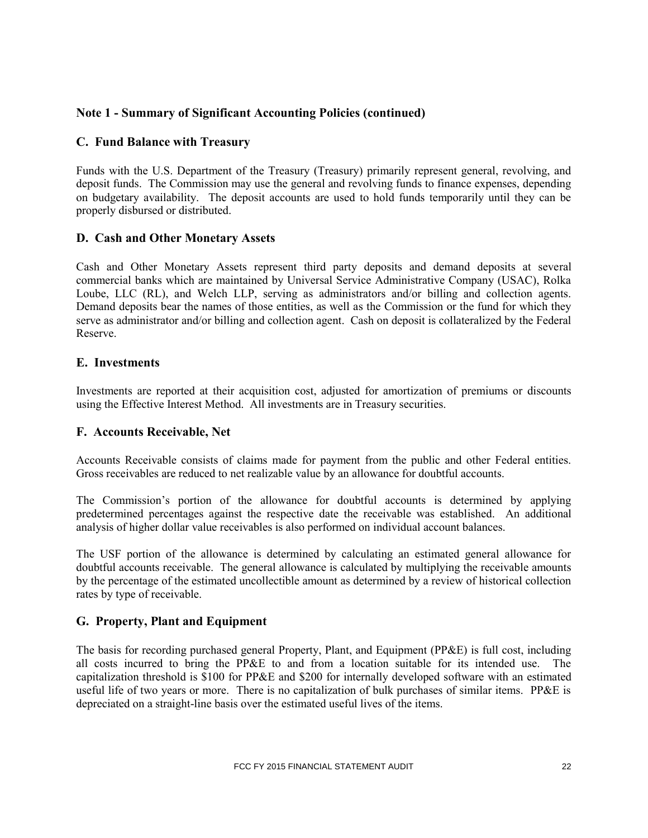#### **C. Fund Balance with Treasury**

 Funds with the U.S. Department of the Treasury (Treasury) primarily represent general, revolving, and deposit funds. The Commission may use the general and revolving funds to finance expenses, depending on budgetary availability. The deposit accounts are used to hold funds temporarily until they can be properly disbursed or distributed.

#### **D. Cash and Other Monetary Assets**

 Cash and Other Monetary Assets represent third party deposits and demand deposits at several commercial banks which are maintained by Universal Service Administrative Company (USAC), Rolka Loube, LLC (RL), and Welch LLP, serving as administrators and/or billing and collection agents. Demand deposits bear the names of those entities, as well as the Commission or the fund for which they serve as administrator and/or billing and collection agent. Cash on deposit is collateralized by the Federal Reserve.

#### **E. Investments**

 Investments are reported at their acquisition cost, adjusted for amortization of premiums or discounts using the Effective Interest Method. All investments are in Treasury securities.

#### **F. Accounts Receivable, Net**

 Accounts Receivable consists of claims made for payment from the public and other Federal entities. Gross receivables are reduced to net realizable value by an allowance for doubtful accounts.

 The Commission's portion of the allowance for doubtful accounts is determined by applying predetermined percentages against the respective date the receivable was established. An additional analysis of higher dollar value receivables is also performed on individual account balances.

 The USF portion of the allowance is determined by calculating an estimated general allowance for doubtful accounts receivable. The general allowance is calculated by multiplying the receivable amounts by the percentage of the estimated uncollectible amount as determined by a review of historical collection rates by type of receivable.

#### **G. Property, Plant and Equipment**

 The basis for recording purchased general Property, Plant, and Equipment (PP&E) is full cost, including all costs incurred to bring the PP&E to and from a location suitable for its intended use. The capitalization threshold is \$100 for PP&E and \$200 for internally developed software with an estimated useful life of two years or more. There is no capitalization of bulk purchases of similar items. PP&E is depreciated on a straight-line basis over the estimated useful lives of the items.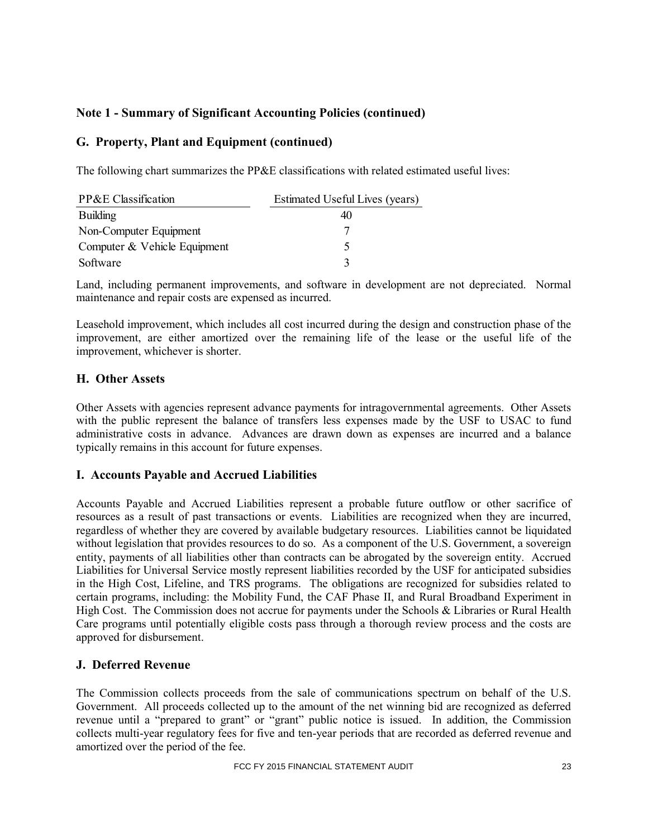#### **G. Property, Plant and Equipment (continued)**

The following chart summarizes the PP&E classifications with related estimated useful lives:

| PP&E Classification          | Estimated Useful Lives (years) |
|------------------------------|--------------------------------|
| <b>Building</b>              | 40                             |
| Non-Computer Equipment       |                                |
| Computer & Vehicle Equipment |                                |
| Software                     |                                |

 Land, including permanent improvements, and software in development are not depreciated. Normal maintenance and repair costs are expensed as incurred.

 Leasehold improvement, which includes all cost incurred during the design and construction phase of the improvement, are either amortized over the remaining life of the lease or the useful life of the improvement, whichever is shorter.

#### **H. Other Assets**

 Other Assets with agencies represent advance payments for intragovernmental agreements. Other Assets with the public represent the balance of transfers less expenses made by the USF to USAC to fund administrative costs in advance. Advances are drawn down as expenses are incurred and a balance typically remains in this account for future expenses.

#### **I. Accounts Payable and Accrued Liabilities**

 Accounts Payable and Accrued Liabilities represent a probable future outflow or other sacrifice of resources as a result of past transactions or events. Liabilities are recognized when they are incurred, regardless of whether they are covered by available budgetary resources. Liabilities cannot be liquidated entity, payments of all liabilities other than contracts can be abrogated by the sovereign entity. Accrued Liabilities for Universal Service mostly represent liabilities recorded by the USF for anticipated subsidies certain programs, including: the Mobility Fund, the CAF Phase II, and Rural Broadband Experiment in High Cost. The Commission does not accrue for payments under the Schools & Libraries or Rural Health Care programs until potentially eligible costs pass through a thorough review process and the costs are without legislation that provides resources to do so. As a component of the U.S. Government, a sovereign in the High Cost, Lifeline, and TRS programs. The obligations are recognized for subsidies related to approved for disbursement.

#### **J. Deferred Revenue**

 The Commission collects proceeds from the sale of communications spectrum on behalf of the U.S. Government. All proceeds collected up to the amount of the net winning bid are recognized as deferred revenue until a "prepared to grant" or "grant" public notice is issued. In addition, the Commission collects multi-year regulatory fees for five and ten-year periods that are recorded as deferred revenue and amortized over the period of the fee.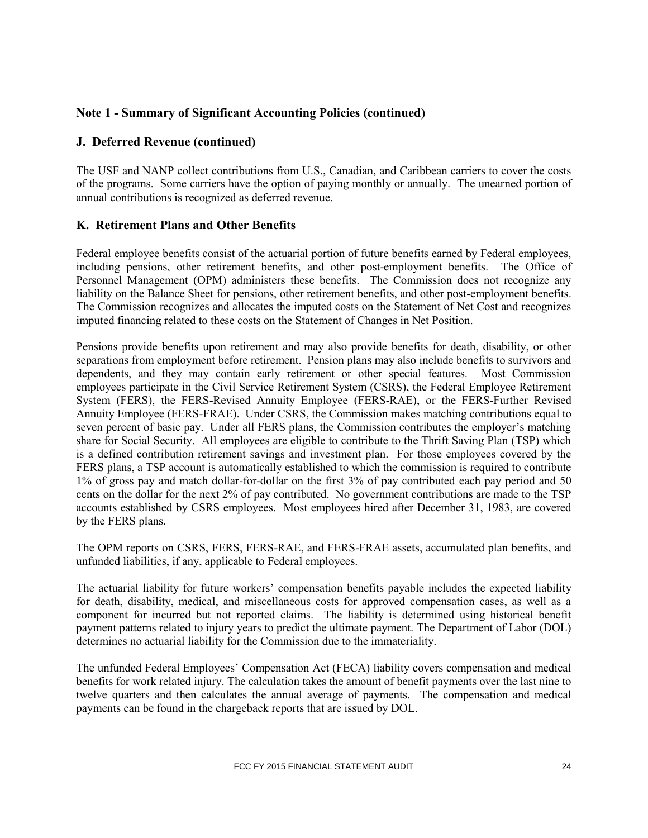#### **J. Deferred Revenue (continued)**

 The USF and NANP collect contributions from U.S., Canadian, and Caribbean carriers to cover the costs of the programs. Some carriers have the option of paying monthly or annually. The unearned portion of annual contributions is recognized as deferred revenue.

#### **K. Retirement Plans and Other Benefits**

 Federal employee benefits consist of the actuarial portion of future benefits earned by Federal employees, including pensions, other retirement benefits, and other post-employment benefits. The Office of Personnel Management (OPM) administers these benefits. The Commission does not recognize any liability on the Balance Sheet for pensions, other retirement benefits, and other post-employment benefits. The Commission recognizes and allocates the imputed costs on the Statement of Net Cost and recognizes imputed financing related to these costs on the Statement of Changes in Net Position.

 Pensions provide benefits upon retirement and may also provide benefits for death, disability, or other dependents, and they may contain early retirement or other special features. Most Commission employees participate in the Civil Service Retirement System (CSRS), the Federal Employee Retirement System (FERS), the FERS-Revised Annuity Employee (FERS-RAE), or the FERS-Further Revised Annuity Employee (FERS-FRAE). Under CSRS, the Commission makes matching contributions equal to seven percent of basic pay. Under all FERS plans, the Commission contributes the employer's matching share for Social Security. All employees are eligible to contribute to the Thrift Saving Plan (TSP) which is a defined contribution retirement savings and investment plan. For those employees covered by the FERS plans, a TSP account is automatically established to which the commission is required to contribute 1% of gross pay and match dollar-for-dollar on the first 3% of pay contributed each pay period and 50 cents on the dollar for the next 2% of pay contributed. No government contributions are made to the TSP accounts established by CSRS employees. Most employees hired after December 31, 1983, are covered separations from employment before retirement. Pension plans may also include benefits to survivors and by the FERS plans.

 The OPM reports on CSRS, FERS, FERS-RAE, and FERS-FRAE assets, accumulated plan benefits, and unfunded liabilities, if any, applicable to Federal employees.

 The actuarial liability for future workers' compensation benefits payable includes the expected liability for death, disability, medical, and miscellaneous costs for approved compensation cases, as well as a component for incurred but not reported claims. The liability is determined using historical benefit payment patterns related to injury years to predict the ultimate payment. The Department of Labor (DOL) determines no actuarial liability for the Commission due to the immateriality.

 The unfunded Federal Employees' Compensation Act (FECA) liability covers compensation and medical benefits for work related injury. The calculation takes the amount of benefit payments over the last nine to twelve quarters and then calculates the annual average of payments. The compensation and medical payments can be found in the chargeback reports that are issued by DOL.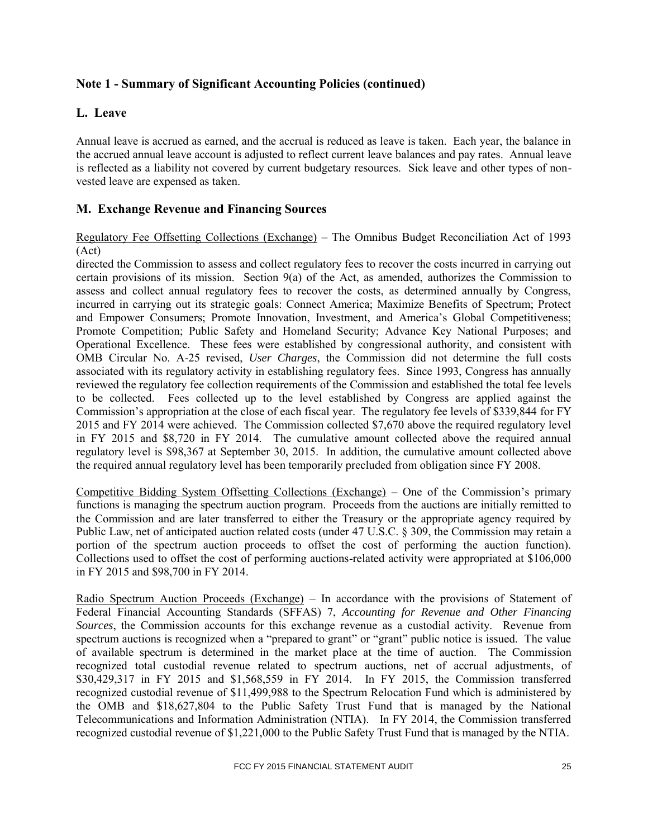#### **L. Leave**

 Annual leave is accrued as earned, and the accrual is reduced as leave is taken. Each year, the balance in the accrued annual leave account is adjusted to reflect current leave balances and pay rates. Annual leave is reflected as a liability not covered by current budgetary resources. Sick leave and other types of nonvested leave are expensed as taken.

#### **M. Exchange Revenue and Financing Sources**

Regulatory Fee Offsetting Collections (Exchange) – The Omnibus Budget Reconciliation Act of 1993 (Act)

 directed the Commission to assess and collect regulatory fees to recover the costs incurred in carrying out certain provisions of its mission. Section 9(a) of the Act, as amended, authorizes the Commission to assess and collect annual regulatory fees to recover the costs, as determined annually by Congress, incurred in carrying out its strategic goals: Connect America; Maximize Benefits of Spectrum; Protect and Empower Consumers; Promote Innovation, Investment, and America's Global Competitiveness; Promote Competition; Public Safety and Homeland Security; Advance Key National Purposes; and Operational Excellence. These fees were established by congressional authority, and consistent with OMB Circular No. A-25 revised, *User Charges*, the Commission did not determine the full costs associated with its regulatory activity in establishing regulatory fees. Since 1993, Congress has annually reviewed the regulatory fee collection requirements of the Commission and established the total fee levels to be collected. Fees collected up to the level established by Congress are applied against the 2015 and FY 2014 were achieved. The Commission collected \$7,670 above the required regulatory level in FY 2015 and \$8,720 in FY 2014. The cumulative amount collected above the required annual regulatory level is \$98,367 at September 30, 2015. In addition, the cumulative amount collected above Commission's appropriation at the close of each fiscal year. The regulatory fee levels of \$339,844 for FY the required annual regulatory level has been temporarily precluded from obligation since FY 2008.

 Competitive Bidding System Offsetting Collections (Exchange) – One of the Commission's primary functions is managing the spectrum auction program. Proceeds from the auctions are initially remitted to the Commission and are later transferred to either the Treasury or the appropriate agency required by Public Law, net of anticipated auction related costs (under 47 U.S.C. § 309, the Commission may retain a portion of the spectrum auction proceeds to offset the cost of performing the auction function). Collections used to offset the cost of performing auctions-related activity were appropriated at \$106,000 in FY 2015 and \$98,700 in FY 2014.

Radio Spectrum Auction Proceeds (Exchange) – In accordance with the provisions of Statement of Federal Financial Accounting Standards (SFFAS) 7, *Accounting for Revenue and Other Financing Sources*, the Commission accounts for this exchange revenue as a custodial activity. Revenue from spectrum auctions is recognized when a "prepared to grant" or "grant" public notice is issued. The value of available spectrum is determined in the market place at the time of auction. The Commission recognized total custodial revenue related to spectrum auctions, net of accrual adjustments, of \$30,429,317 in FY 2015 and \$1,568,559 in FY 2014. In FY 2015, the Commission transferred recognized custodial revenue of \$11,499,988 to the Spectrum Relocation Fund which is administered by the OMB and \$18,627,804 to the Public Safety Trust Fund that is managed by the National Telecommunications and Information Administration (NTIA). In FY 2014, the Commission transferred recognized custodial revenue of \$1,221,000 to the Public Safety Trust Fund that is managed by the NTIA.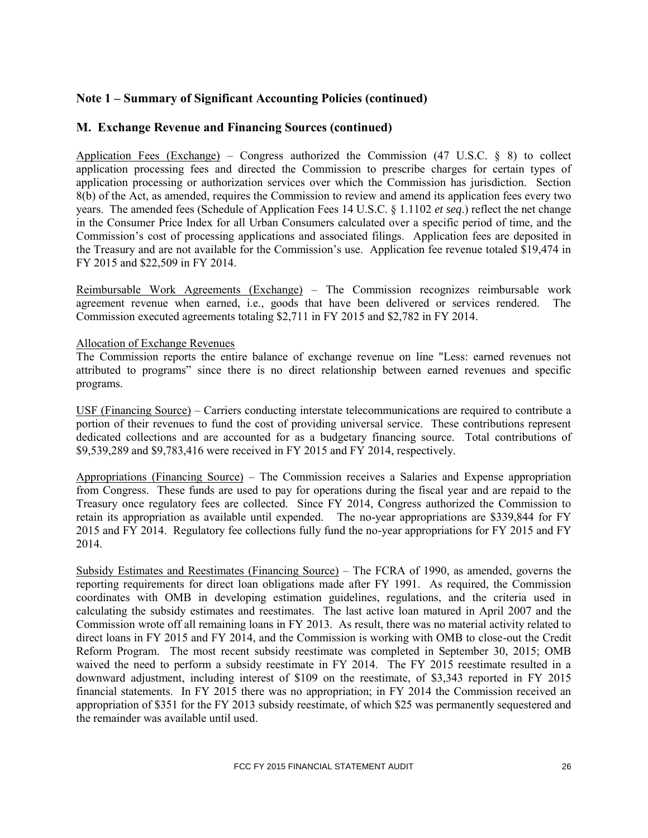#### **M. Exchange Revenue and Financing Sources (continued)**

Application Fees (Exchange) – Congress authorized the Commission (47 U.S.C. § 8) to collect application processing fees and directed the Commission to prescribe charges for certain types of application processing or authorization services over which the Commission has jurisdiction. Section 8(b) of the Act, as amended, requires the Commission to review and amend its application fees every two years. The amended fees (Schedule of Application Fees 14 U.S.C. § 1.1102 *et seq*.) reflect the net change in the Consumer Price Index for all Urban Consumers calculated over a specific period of time, and the Commission's cost of processing applications and associated filings. Application fees are deposited in the Treasury and are not available for the Commission's use. Application fee revenue totaled \$19,474 in FY 2015 and \$22,509 in FY 2014.

 agreement revenue when earned, i.e., goods that have been delivered or services rendered. The Reimbursable Work Agreements (Exchange) – The Commission recognizes reimbursable work Commission executed agreements totaling \$2,711 in FY 2015 and \$2,782 in FY 2014.

#### Allocation of Exchange Revenues

 The Commission reports the entire balance of exchange revenue on line "Less: earned revenues not attributed to programs" since there is no direct relationship between earned revenues and specific programs.

 USF (Financing Source) – Carriers conducting interstate telecommunications are required to contribute a portion of their revenues to fund the cost of providing universal service. These contributions represent dedicated collections and are accounted for as a budgetary financing source. Total contributions of \$9,539,289 and \$9,783,416 were received in FY 2015 and FY 2014, respectively.

 Appropriations (Financing Source) – The Commission receives a Salaries and Expense appropriation from Congress. These funds are used to pay for operations during the fiscal year and are repaid to the Treasury once regulatory fees are collected. Since FY 2014, Congress authorized the Commission to retain its appropriation as available until expended. The no-year appropriations are \$339,844 for FY 2015 and FY 2014. Regulatory fee collections fully fund the no-year appropriations for FY 2015 and FY 2014.

Subsidy Estimates and Reestimates (Financing Source) – The FCRA of 1990, as amended, governs the reporting requirements for direct loan obligations made after FY 1991. As required, the Commission calculating the subsidy estimates and reestimates. The last active loan matured in April 2007 and the Commission wrote off all remaining loans in FY 2013. As result, there was no material activity related to direct loans in FY 2015 and FY 2014, and the Commission is working with OMB to close-out the Credit Reform Program. The most recent subsidy reestimate was completed in September 30, 2015; OMB waived the need to perform a subsidy reestimate in FY 2014. The FY 2015 reestimate resulted in a downward adjustment, including interest of \$109 on the reestimate, of \$3,343 reported in FY 2015 financial statements. In FY 2015 there was no appropriation; in FY 2014 the Commission received an the remainder was available until used. coordinates with OMB in developing estimation guidelines, regulations, and the criteria used in appropriation of \$351 for the FY 2013 subsidy reestimate, of which \$25 was permanently sequestered and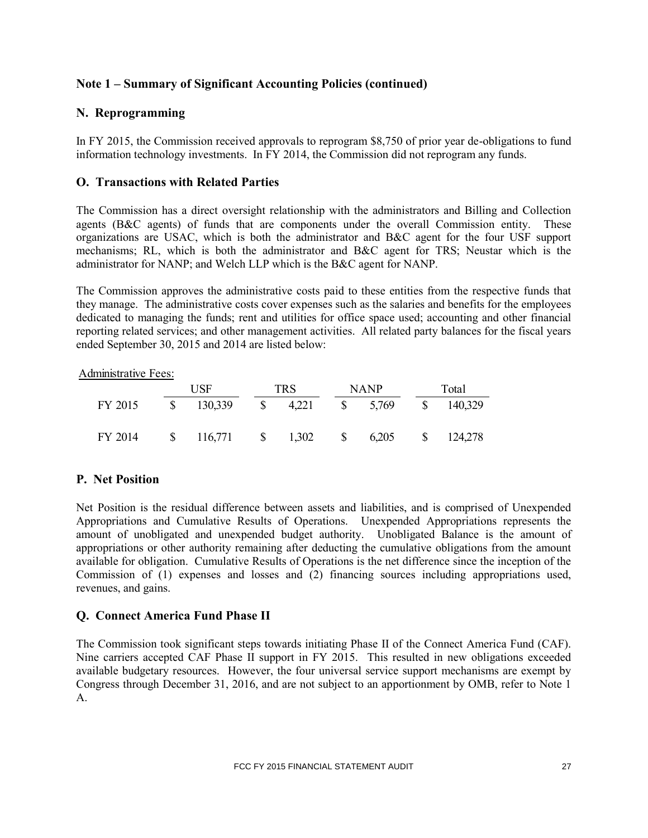#### **N. Reprogramming**

 In FY 2015, the Commission received approvals to reprogram \$8,750 of prior year de-obligations to fund information technology investments. In FY 2014, the Commission did not reprogram any funds.

#### **O. Transactions with Related Parties**

 The Commission has a direct oversight relationship with the administrators and Billing and Collection agents (B&C agents) of funds that are components under the overall Commission entity. These organizations are USAC, which is both the administrator and B&C agent for the four USF support mechanisms; RL, which is both the administrator and B&C agent for TRS; Neustar which is the administrator for NANP; and Welch LLP which is the B&C agent for NANP.

 The Commission approves the administrative costs paid to these entities from the respective funds that they manage. The administrative costs cover expenses such as the salaries and benefits for the employees dedicated to managing the funds; rent and utilities for office space used; accounting and other financial reporting related services; and other management activities. All related party balances for the fiscal years ended September 30, 2015 and 2014 are listed below:

Administrative Fees:

|         |              | USF     |               | <b>TRS</b> |              | <b>NANP</b> |              | Total   |
|---------|--------------|---------|---------------|------------|--------------|-------------|--------------|---------|
| FY 2015 | \$.          | 130,339 |               | 4,221      | $\mathbb{S}$ | 5,769       | -S           | 140,329 |
| FY 2014 | <sup>S</sup> | 116,771 | $\mathcal{S}$ | 1,302      | $\mathbb{S}$ | 6,205       | <sup>S</sup> | 124,278 |

#### **P. Net Position**

 Net Position is the residual difference between assets and liabilities, and is comprised of Unexpended amount of unobligated and unexpended budget authority. Unobligated Balance is the amount of appropriations or other authority remaining after deducting the cumulative obligations from the amount available for obligation. Cumulative Results of Operations is the net difference since the inception of the Commission of (1) expenses and losses and (2) financing sources including appropriations used, Appropriations and Cumulative Results of Operations. Unexpended Appropriations represents the revenues, and gains.

#### **Q. Connect America Fund Phase II**

 The Commission took significant steps towards initiating Phase II of the Connect America Fund (CAF). Nine carriers accepted CAF Phase II support in FY 2015. This resulted in new obligations exceeded available budgetary resources. However, the four universal service support mechanisms are exempt by Congress through December 31, 2016, and are not subject to an apportionment by OMB, refer to Note 1 A.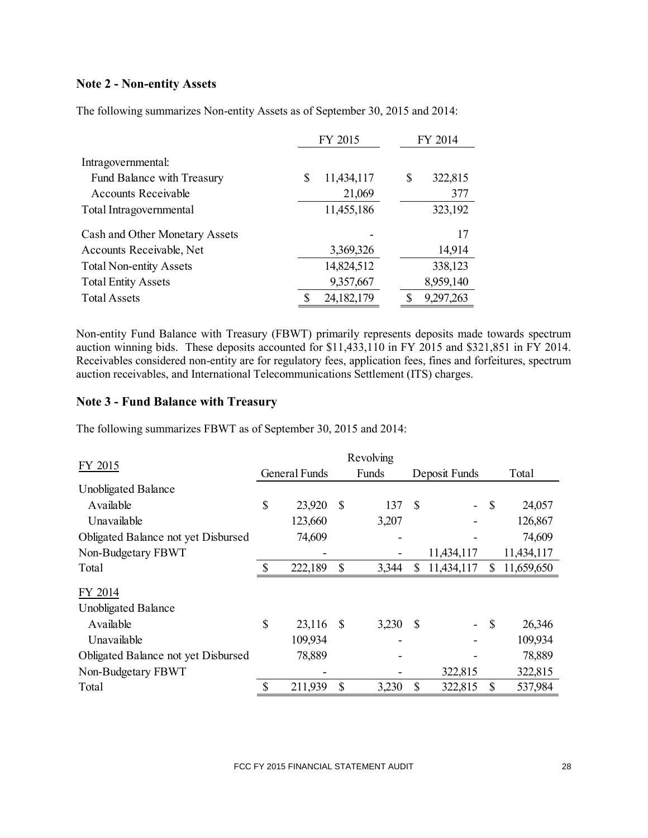#### **Note 2 - Non-entity Assets**

|                                | FY 2015          | FY 2014      |
|--------------------------------|------------------|--------------|
| Intragovernmental:             |                  |              |
| Fund Balance with Treasury     | 11,434,117<br>\$ | S<br>322,815 |
| <b>Accounts Receivable</b>     | 21,069           | 377          |
| Total Intragovernmental        | 11,455,186       | 323,192      |
| Cash and Other Monetary Assets |                  | 17           |
| Accounts Receivable, Net       | 3,369,326        | 14,914       |
| <b>Total Non-entity Assets</b> | 14,824,512       | 338,123      |
| <b>Total Entity Assets</b>     | 9,357,667        | 8,959,140    |
| <b>Total Assets</b>            | 24,182,179       | 9,297,263    |

The following summarizes Non-entity Assets as of September 30, 2015 and 2014:

 Non-entity Fund Balance with Treasury (FBWT) primarily represents deposits made towards spectrum auction winning bids. These deposits accounted for \$11,433,110 in FY 2015 and \$321,851 in FY 2014. Receivables considered non-entity are for regulatory fees, application fees, fines and forfeitures, spectrum auction receivables, and International Telecommunications Settlement (ITS) charges.

#### **Note 3 - Fund Balance with Treasury**

The following summarizes FBWT as of September 30, 2015 and 2014:

| FY 2015                             |    |               |    |       |    |                          |                  |  |
|-------------------------------------|----|---------------|----|-------|----|--------------------------|------------------|--|
|                                     |    | General Funds |    | Funds |    | Deposit Funds            | Total            |  |
| <b>Unobligated Balance</b>          |    |               |    |       |    |                          |                  |  |
| Available                           | \$ | 23,920        | S  | 137   | S  | $\overline{\phantom{a}}$ | \$<br>24,057     |  |
| Unavailable                         |    | 123,660       |    | 3,207 |    |                          | 126,867          |  |
| Obligated Balance not yet Disbursed |    | 74,609        |    |       |    |                          | 74,609           |  |
| Non-Budgetary FBWT                  |    |               |    |       |    | 11,434,117               | 11,434,117       |  |
| Total                               |    | 222,189       | \$ | 3,344 | \$ | 11,434,117               | \$<br>11,659,650 |  |
| FY 2014                             |    |               |    |       |    |                          |                  |  |
| <b>Unobligated Balance</b>          |    |               |    |       |    |                          |                  |  |
| Available                           | \$ | 23,116        | \$ | 3,230 | \$ |                          | \$<br>26,346     |  |
| Unavailable                         |    | 109,934       |    |       |    |                          | 109,934          |  |
| Obligated Balance not yet Disbursed |    | 78,889        |    |       |    |                          | 78,889           |  |
| Non-Budgetary FBWT                  |    |               |    |       |    | 322,815                  | 322,815          |  |
| Total                               |    | 211,939       | \$ | 3,230 | \$ | 322,815                  | \$<br>537,984    |  |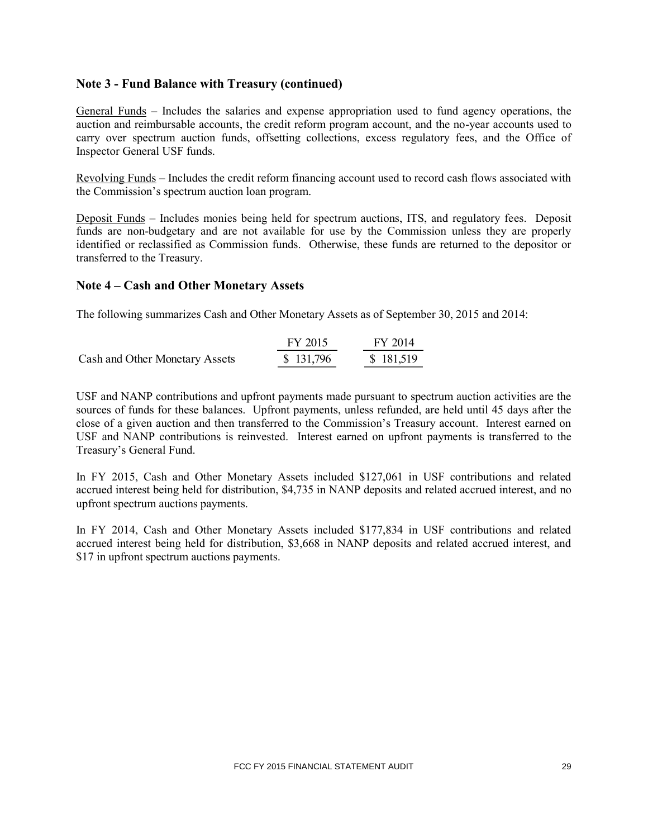#### **Note 3 - Fund Balance with Treasury (continued)**

General Funds – Includes the salaries and expense appropriation used to fund agency operations, the auction and reimbursable accounts, the credit reform program account, and the no-year accounts used to carry over spectrum auction funds, offsetting collections, excess regulatory fees, and the Office of Inspector General USF funds.

Revolving Funds - Includes the credit reform financing account used to record cash flows associated with the Commission's spectrum auction loan program.

Deposit Funds – Includes monies being held for spectrum auctions, ITS, and regulatory fees. Deposit identified or reclassified as Commission funds. Otherwise, these funds are returned to the depositor or funds are non-budgetary and are not available for use by the Commission unless they are properly transferred to the Treasury.

#### **Note 4 – Cash and Other Monetary Assets**

The following summarizes Cash and Other Monetary Assets as of September 30, 2015 and 2014:

|                                | FY 2015   | FY 2014   |
|--------------------------------|-----------|-----------|
| Cash and Other Monetary Assets | \$131,796 | \$181,519 |

 USF and NANP contributions and upfront payments made pursuant to spectrum auction activities are the sources of funds for these balances. Upfront payments, unless refunded, are held until 45 days after the close of a given auction and then transferred to the Commission's Treasury account. Interest earned on USF and NANP contributions is reinvested. Interest earned on upfront payments is transferred to the Treasury's General Fund.

 In FY 2015, Cash and Other Monetary Assets included \$127,061 in USF contributions and related accrued interest being held for distribution, \$4,735 in NANP deposits and related accrued interest, and no upfront spectrum auctions payments.

 In FY 2014, Cash and Other Monetary Assets included \$177,834 in USF contributions and related accrued interest being held for distribution, \$3,668 in NANP deposits and related accrued interest, and \$17 in upfront spectrum auctions payments.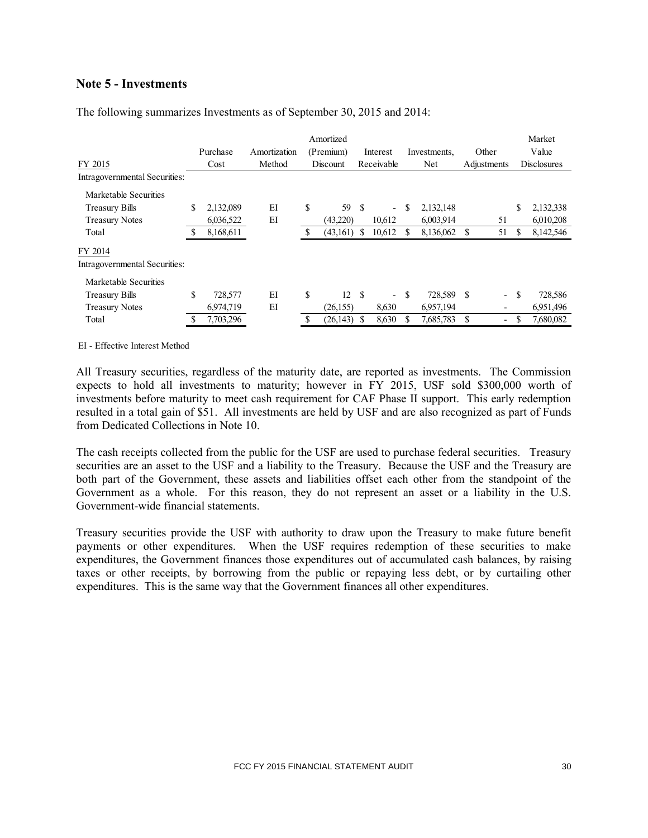#### **Note 5 - Investments**

The following summarizes Investments as of September 30, 2015 and 2014:

|                               | Amortized |           |              |    |           |    |                          |      |              |  |                          |   |             |
|-------------------------------|-----------|-----------|--------------|----|-----------|----|--------------------------|------|--------------|--|--------------------------|---|-------------|
|                               |           | Purchase  | Amortization |    | (Premium) |    | Interest                 |      | Investments. |  | Other                    |   | Value       |
| FY 2015                       |           | Cost      | Method       |    | Discount  |    | Receivable               |      | Net.         |  | Adjustments              |   | Disclosures |
| Intragovernmental Securities: |           |           |              |    |           |    |                          |      |              |  |                          |   |             |
| Marketable Securities         |           |           |              |    |           |    |                          |      |              |  |                          |   |             |
| <b>Treasury Bills</b>         | \$        | 2,132,089 | EI           | \$ | 59        | -S | $\overline{\phantom{0}}$ | S    | 2,132,148    |  |                          | S | 2,132,338   |
| <b>Treasury Notes</b>         |           | 6,036,522 | EI           |    | (43,220)  |    | 10,612                   |      | 6,003,914    |  | 51                       |   | 6,010,208   |
| Total                         |           | 8,168,611 |              |    | (43,161)  | S  | 10,612                   |      | 8,136,062    |  | 51                       |   | 8,142,546   |
| FY 2014                       |           |           |              |    |           |    |                          |      |              |  |                          |   |             |
| Intragovernmental Securities: |           |           |              |    |           |    |                          |      |              |  |                          |   |             |
| Marketable Securities         |           |           |              |    |           |    |                          |      |              |  |                          |   |             |
| <b>Treasury Bills</b>         | \$        | 728,577   | EI           | \$ | 12S       |    |                          | - \$ | 728,589 \$   |  | - \$                     |   | 728,586     |
| <b>Treasury Notes</b>         |           | 6,974,719 | EI           |    | (26, 155) |    | 8,630                    |      | 6,957,194    |  |                          |   | 6,951,496   |
| Total                         |           | 7,703,296 |              |    | (26, 143) | -S | 8,630                    |      | 7,685,783    |  | $\overline{\phantom{a}}$ |   | 7,680,082   |

EI - Effective Interest Method

 All Treasury securities, regardless of the maturity date, are reported as investments. The Commission expects to hold all investments to maturity; however in FY 2015, USF sold \$300,000 worth of investments before maturity to meet cash requirement for CAF Phase II support. This early redemption resulted in a total gain of \$51. All investments are held by USF and are also recognized as part of Funds from Dedicated Collections in Note 10.

 The cash receipts collected from the public for the USF are used to purchase federal securities. Treasury securities are an asset to the USF and a liability to the Treasury. Because the USF and the Treasury are both part of the Government, these assets and liabilities offset each other from the standpoint of the Government as a whole. For this reason, they do not represent an asset or a liability in the U.S. Government-wide financial statements.

 Treasury securities provide the USF with authority to draw upon the Treasury to make future benefit payments or other expenditures. When the USF requires redemption of these securities to make expenditures, the Government finances those expenditures out of accumulated cash balances, by raising taxes or other receipts, by borrowing from the public or repaying less debt, or by curtailing other expenditures. This is the same way that the Government finances all other expenditures.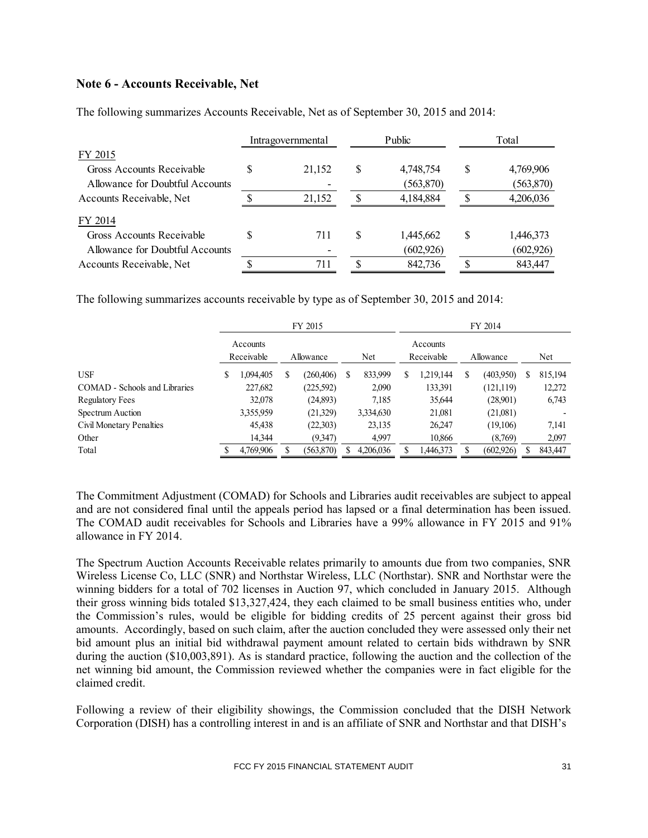#### **Note 6 - Accounts Receivable, Net**

|                                 | Intragovernmental |        |    | Public     | Total |            |  |
|---------------------------------|-------------------|--------|----|------------|-------|------------|--|
| FY 2015                         |                   |        |    |            |       |            |  |
| Gross Accounts Receivable       |                   | 21,152 | \$ | 4,748,754  | S     | 4,769,906  |  |
| Allowance for Doubtful Accounts |                   |        |    | (563, 870) |       | (563, 870) |  |
| Accounts Receivable, Net        |                   | 21,152 |    | 4,184,884  |       | 4,206,036  |  |
| FY 2014                         |                   |        |    |            |       |            |  |
| Gross Accounts Receivable       |                   | 711    | \$ | 1,445,662  |       | 1,446,373  |  |
| Allowance for Doubtful Accounts |                   |        |    | (602,926)  |       | (602,926)  |  |
| Accounts Receivable, Net        |                   | 711    |    | 842,736    |       | 843,447    |  |

The following summarizes Accounts Receivable, Net as of September 30, 2015 and 2014:

The following summarizes accounts receivable by type as of September 30, 2015 and 2014:

|                               |                        |           |           | FY 2015    |   |           | FY 2014                |           |           |            |     |         |  |  |  |
|-------------------------------|------------------------|-----------|-----------|------------|---|-----------|------------------------|-----------|-----------|------------|-----|---------|--|--|--|
|                               | Accounts<br>Receivable |           | Allowance | Net        |   |           | Accounts<br>Receivable |           | Allowance |            | Net |         |  |  |  |
| <b>USF</b>                    | S                      | 1,094,405 | \$.       | (260, 406) | S | 833,999   | S                      | 1,219,144 | S         | (403,950)  |     | 815,194 |  |  |  |
| COMAD - Schools and Libraries |                        | 227,682   |           | (225,592)  |   | 2,090     |                        | 133,391   |           | (121, 119) |     | 12,272  |  |  |  |
| <b>Regulatory Fees</b>        |                        | 32,078    |           | (24,893)   |   | 7,185     |                        | 35,644    |           | (28,901)   |     | 6,743   |  |  |  |
| Spectrum Auction              |                        | 3,355,959 |           | (21,329)   |   | 3,334,630 |                        | 21,081    |           | (21,081)   |     |         |  |  |  |
| Civil Monetary Penalties      |                        | 45,438    |           | (22,303)   |   | 23,135    |                        | 26.247    |           | (19,106)   |     | 7,141   |  |  |  |
| Other                         |                        | 14,344    |           | (9,347)    |   | 4,997     |                        | 10,866    |           | (8,769)    |     | 2,097   |  |  |  |
| Total                         |                        | 4,769,906 |           | (563, 870) |   | 4,206,036 |                        | 1,446,373 |           | (602, 926) |     | 843,447 |  |  |  |

 The Commitment Adjustment (COMAD) for Schools and Libraries audit receivables are subject to appeal and are not considered final until the appeals period has lapsed or a final determination has been issued. The COMAD audit receivables for Schools and Libraries have a 99% allowance in FY 2015 and 91% allowance in FY 2014.

 The Spectrum Auction Accounts Receivable relates primarily to amounts due from two companies, SNR Wireless License Co, LLC (SNR) and Northstar Wireless, LLC (Northstar). SNR and Northstar were the winning bidders for a total of 702 licenses in Auction 97, which concluded in January 2015. Although the Commission's rules, would be eligible for bidding credits of 25 percent against their gross bid bid amount plus an initial bid withdrawal payment amount related to certain bids withdrawn by SNR during the auction (\$10,003,891). As is standard practice, following the auction and the collection of the net winning bid amount, the Commission reviewed whether the companies were in fact eligible for the their gross winning bids totaled \$13,327,424, they each claimed to be small business entities who, under amounts. Accordingly, based on such claim, after the auction concluded they were assessed only their net claimed credit.

 Following a review of their eligibility showings, the Commission concluded that the DISH Network Corporation (DISH) has a controlling interest in and is an affiliate of SNR and Northstar and that DISH's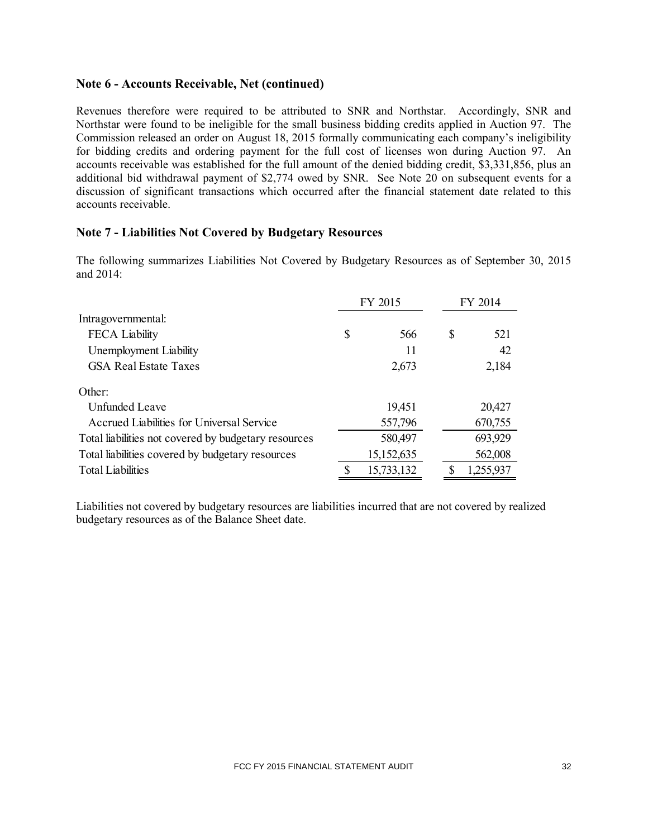#### **Note 6 - Accounts Receivable, Net (continued)**

 Revenues therefore were required to be attributed to SNR and Northstar. Accordingly, SNR and Northstar were found to be ineligible for the small business bidding credits applied in Auction 97. The Commission released an order on August 18, 2015 formally communicating each company's ineligibility for bidding credits and ordering payment for the full cost of licenses won during Auction 97. An accounts receivable was established for the full amount of the denied bidding credit, \$3,331,856, plus an additional bid withdrawal payment of \$2,774 owed by SNR. See Note 20 on subsequent events for a discussion of significant transactions which occurred after the financial statement date related to this accounts receivable.

#### **Note 7 - Liabilities Not Covered by Budgetary Resources**

 The following summarizes Liabilities Not Covered by Budgetary Resources as of September 30, 2015 and 2014:

|                                                      | FY 2015          | FY 2014 |           |  |
|------------------------------------------------------|------------------|---------|-----------|--|
| Intragovernmental:                                   |                  |         |           |  |
| <b>FECA Liability</b>                                | \$<br>566        | \$      | 521       |  |
| Unemployment Liability                               | 11               |         | 42        |  |
| <b>GSA Real Estate Taxes</b>                         | 2,673            |         | 2,184     |  |
| Other:                                               |                  |         |           |  |
| Unfunded Leave                                       | 19,451           |         | 20,427    |  |
| Accrued Liabilities for Universal Service            | 557,796          |         | 670,755   |  |
| Total liabilities not covered by budgetary resources | 580,497          |         | 693,929   |  |
| Total liabilities covered by budgetary resources     | 15,152,635       |         | 562,008   |  |
| <b>Total Liabilities</b>                             | \$<br>15,733,132 |         | 1,255,937 |  |

 Liabilities not covered by budgetary resources are liabilities incurred that are not covered by realized budgetary resources as of the Balance Sheet date.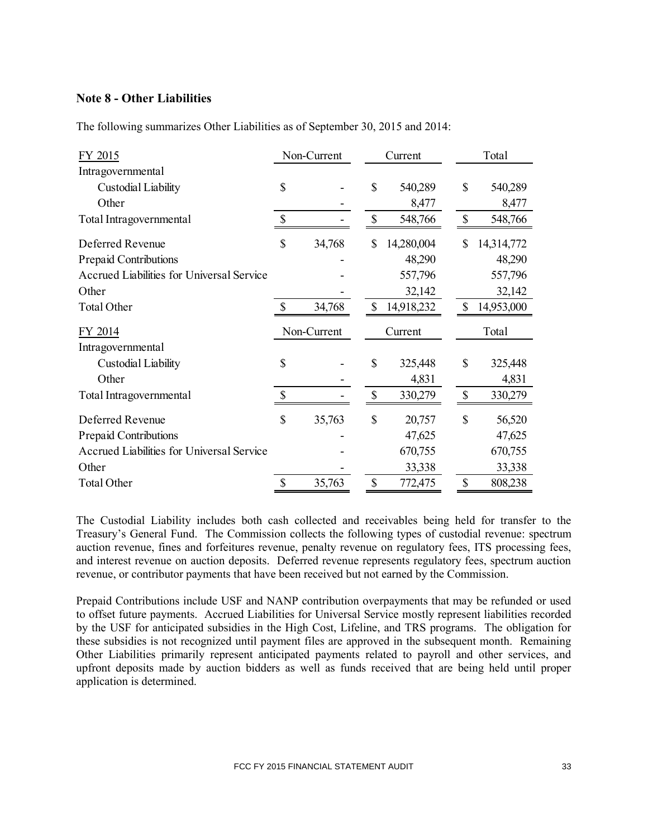#### **Note 8 - Other Liabilities**

The following summarizes Other Liabilities as of September 30, 2015 and 2014:

| FY 2015                                   |               | Non-Current |              | Current    |              | Total      |
|-------------------------------------------|---------------|-------------|--------------|------------|--------------|------------|
| Intragovernmental                         |               |             |              |            |              |            |
| Custodial Liability                       | $\mathbb{S}$  |             | \$           | 540,289    | $\mathbb{S}$ | 540,289    |
| Other                                     |               |             |              | 8,477      |              | 8,477      |
| Total Intragovernmental                   | \$            |             | \$           | 548,766    | \$           | 548,766    |
| Deferred Revenue                          | \$            | 34,768      | \$           | 14,280,004 | \$           | 14,314,772 |
| Prepaid Contributions                     |               |             |              | 48,290     |              | 48,290     |
| Accrued Liabilities for Universal Service |               |             |              | 557,796    |              | 557,796    |
| Other                                     |               |             |              | 32,142     |              | 32,142     |
| <b>Total Other</b>                        |               | 34,768      | \$           | 14,918,232 |              | 14,953,000 |
|                                           |               |             |              |            |              |            |
| FY 2014                                   |               | Non-Current |              | Current    |              | Total      |
| Intragovernmental                         |               |             |              |            |              |            |
| Custodial Liability                       | $\mathbb{S}$  |             | $\mathbb{S}$ | 325,448    | \$           | 325,448    |
| Other                                     |               |             |              | 4,831      |              | 4,831      |
| Total Intragovernmental                   | $\mathcal{S}$ |             | \$           | 330,279    | \$           | 330,279    |
| Deferred Revenue                          | \$            | 35,763      | \$           | 20,757     | \$           | 56,520     |
| <b>Prepaid Contributions</b>              |               |             |              | 47,625     |              | 47,625     |
| Accrued Liabilities for Universal Service |               |             |              | 670,755    |              | 670,755    |
| Other                                     |               |             |              | 33,338     |              | 33,338     |

 The Custodial Liability includes both cash collected and receivables being held for transfer to the Treasury's General Fund. The Commission collects the following types of custodial revenue: spectrum auction revenue, fines and forfeitures revenue, penalty revenue on regulatory fees, ITS processing fees, and interest revenue on auction deposits. Deferred revenue represents regulatory fees, spectrum auction revenue, or contributor payments that have been received but not earned by the Commission.

 Prepaid Contributions include USF and NANP contribution overpayments that may be refunded or used to offset future payments. Accrued Liabilities for Universal Service mostly represent liabilities recorded by the USF for anticipated subsidies in the High Cost, Lifeline, and TRS programs. The obligation for these subsidies is not recognized until payment files are approved in the subsequent month. Remaining Other Liabilities primarily represent anticipated payments related to payroll and other services, and upfront deposits made by auction bidders as well as funds received that are being held until proper application is determined.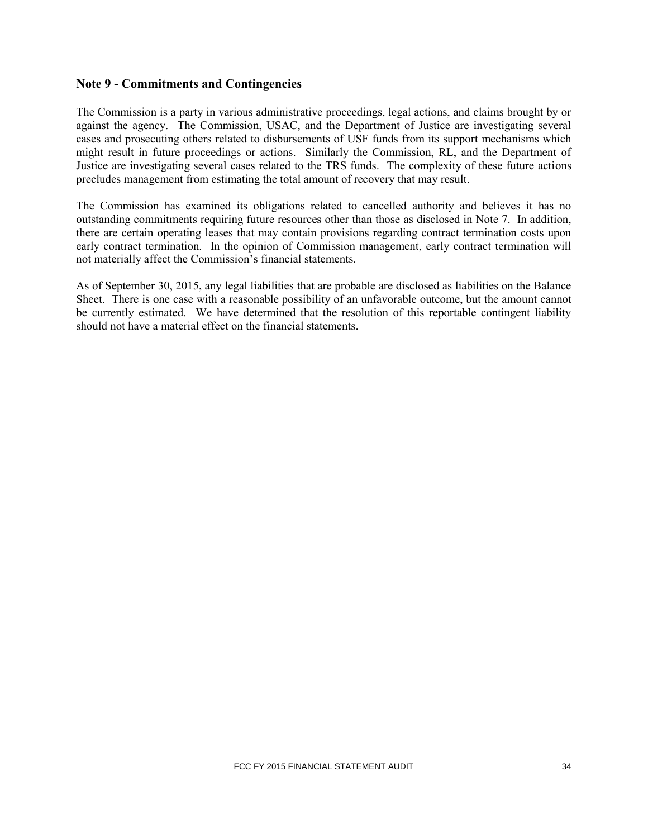#### **Note 9 - Commitments and Contingencies**

 The Commission is a party in various administrative proceedings, legal actions, and claims brought by or against the agency. The Commission, USAC, and the Department of Justice are investigating several cases and prosecuting others related to disbursements of USF funds from its support mechanisms which might result in future proceedings or actions. Similarly the Commission, RL, and the Department of Justice are investigating several cases related to the TRS funds. The complexity of these future actions precludes management from estimating the total amount of recovery that may result.

 The Commission has examined its obligations related to cancelled authority and believes it has no there are certain operating leases that may contain provisions regarding contract termination costs upon early contract termination. In the opinion of Commission management, early contract termination will outstanding commitments requiring future resources other than those as disclosed in Note 7. In addition, not materially affect the Commission's financial statements.

 As of September 30, 2015, any legal liabilities that are probable are disclosed as liabilities on the Balance Sheet. There is one case with a reasonable possibility of an unfavorable outcome, but the amount cannot be currently estimated. We have determined that the resolution of this reportable contingent liability should not have a material effect on the financial statements.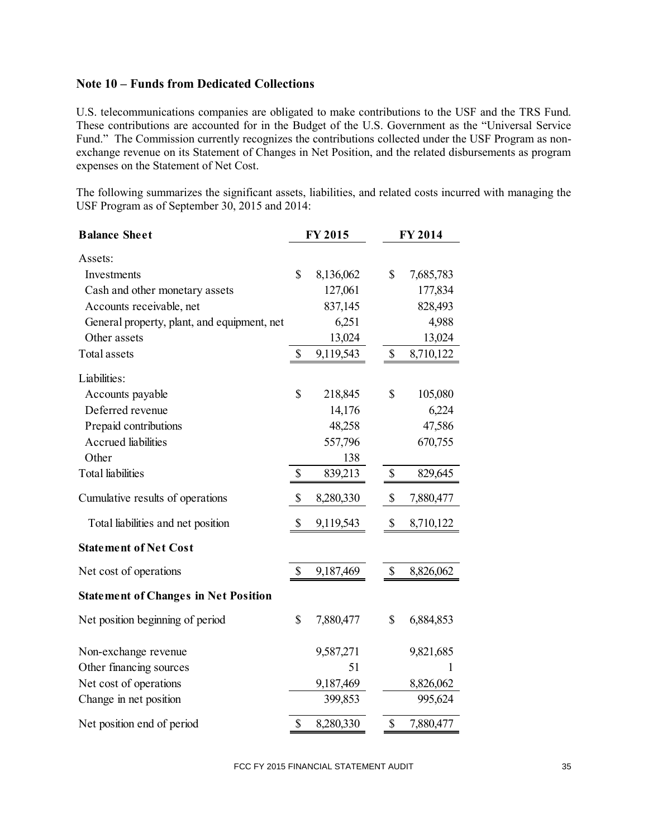#### **Note 10 – Funds from Dedicated Collections**

U.S. telecommunications companies are obligated to make contributions to the USF and the TRS Fund. U.S. telecommunications companies are obligated to make contributions to the USF and the TRS Fund. These contributions are accounted for in the Budget of the U.S. Government as the "Universal Service Fund." The Commission currently recognizes the contributions collected under the USF Program as non- exchange revenue on its Statement of Changes in Net Position, and the related disbursements as program expenses on the Statement of Net Cost.

 The following summarizes the significant assets, liabilities, and related costs incurred with managing the USF Program as of September 30, 2015 and 2014:

| <b>Balance Sheet</b>                        |               | FY 2015   |                           | FY 2014   |  |  |  |  |
|---------------------------------------------|---------------|-----------|---------------------------|-----------|--|--|--|--|
| Assets:                                     |               |           |                           |           |  |  |  |  |
| Investments                                 | $\mathcal{S}$ | 8,136,062 | \$                        | 7,685,783 |  |  |  |  |
| Cash and other monetary assets              |               | 127,061   |                           | 177,834   |  |  |  |  |
| Accounts receivable, net                    |               | 837,145   |                           | 828,493   |  |  |  |  |
| General property, plant, and equipment, net |               | 6,251     |                           | 4,988     |  |  |  |  |
| Other assets                                |               | 13,024    |                           | 13,024    |  |  |  |  |
| <b>Total</b> assets                         | $\mathcal{S}$ | 9,119,543 | \$                        | 8,710,122 |  |  |  |  |
| Liabilities:                                |               |           |                           |           |  |  |  |  |
| Accounts payable                            | $\mathcal{S}$ | 218,845   | \$                        | 105,080   |  |  |  |  |
| Deferred revenue                            |               | 14,176    |                           | 6,224     |  |  |  |  |
| Prepaid contributions                       |               | 48,258    |                           | 47,586    |  |  |  |  |
| <b>Accrued</b> liabilities                  |               | 557,796   |                           | 670,755   |  |  |  |  |
| Other                                       |               | 138       |                           |           |  |  |  |  |
| <b>Total</b> liabilities                    | \$            | 839,213   | $\boldsymbol{\mathsf{S}}$ | 829,645   |  |  |  |  |
| Cumulative results of operations            | \$            | 8,280,330 | \$                        | 7,880,477 |  |  |  |  |
| Total liabilities and net position          | \$            | 9,119,543 | \$                        | 8,710,122 |  |  |  |  |
| <b>Statement of Net Cost</b>                |               |           |                           |           |  |  |  |  |
| Net cost of operations                      | \$            | 9,187,469 | \$                        | 8,826,062 |  |  |  |  |
| <b>Statement of Changes in Net Position</b> |               |           |                           |           |  |  |  |  |
| Net position beginning of period            | \$            | 7,880,477 | \$                        | 6,884,853 |  |  |  |  |
| Non-exchange revenue                        |               | 9,587,271 |                           | 9,821,685 |  |  |  |  |
| Other financing sources                     |               | 51        |                           |           |  |  |  |  |
| Net cost of operations                      |               | 9,187,469 |                           | 8,826,062 |  |  |  |  |
| Change in net position                      |               | 399,853   |                           | 995,624   |  |  |  |  |
| Net position end of period                  | \$            | 8,280,330 | \$                        | 7,880,477 |  |  |  |  |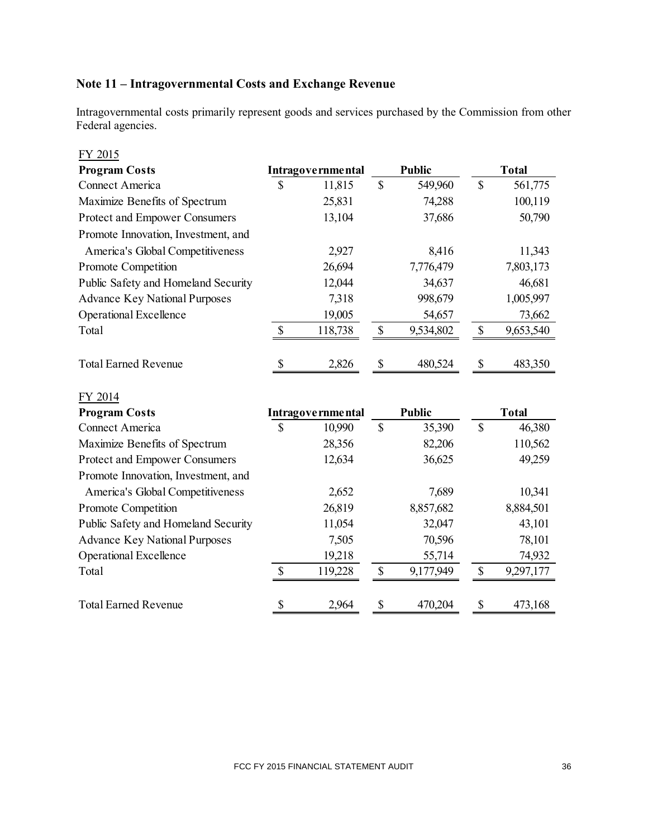# **Note 11 – Intragovernmental Costs and Exchange Revenue**

 Intragovernmental costs primarily represent goods and services purchased by the Commission from other Federal agencies.

| FY 2015                              |                           |                          |                           |               |                           |              |
|--------------------------------------|---------------------------|--------------------------|---------------------------|---------------|---------------------------|--------------|
| <b>Program Costs</b>                 |                           | Intragove rnmental       |                           | <b>Public</b> |                           | <b>Total</b> |
| Connect America                      | $\mathbb{S}$              | 11,815                   | \$                        | 549,960       | \$                        | 561,775      |
| Maximize Benefits of Spectrum        |                           | 25,831                   |                           | 74,288        |                           | 100,119      |
| Protect and Empower Consumers        |                           | 13,104                   |                           | 37,686        |                           | 50,790       |
| Promote Innovation, Investment, and  |                           |                          |                           |               |                           |              |
| America's Global Competitiveness     |                           | 2,927                    |                           | 8,416         |                           | 11,343       |
| Promote Competition                  |                           | 26,694                   |                           | 7,776,479     |                           | 7,803,173    |
| Public Safety and Homeland Security  |                           | 12,044                   |                           | 34,637        |                           | 46,681       |
| <b>Advance Key National Purposes</b> |                           | 7,318                    |                           | 998,679       |                           | 1,005,997    |
| <b>Operational Excellence</b>        |                           | 19,005                   |                           | 54,657        |                           | 73,662       |
| Total                                | $\boldsymbol{\mathsf{S}}$ | 118,738                  | $\boldsymbol{\mathsf{S}}$ | 9,534,802     | $\boldsymbol{\mathsf{S}}$ | 9,653,540    |
|                                      |                           |                          |                           |               |                           |              |
| <b>Total Earned Revenue</b>          | \$                        | 2,826                    | \$                        | 480,524       | \$                        | 483,350      |
| FY 2014                              |                           |                          |                           |               |                           |              |
| <b>Program Costs</b>                 |                           | <b>Intragovernmental</b> |                           | <b>Public</b> |                           | <b>Total</b> |
| Connect America                      | \$                        | 10,990                   | \$                        | 35,390        | \$                        | 46,380       |
| Maximize Benefits of Spectrum        |                           | 28,356                   |                           | 82,206        |                           | 110,562      |
| Protect and Empower Consumers        |                           | 12,634                   |                           | 36,625        |                           | 49,259       |
| Promote Innovation, Investment, and  |                           |                          |                           |               |                           |              |
| America's Global Competitiveness     |                           | 2,652                    |                           | 7,689         |                           | 10,341       |
| Promote Competition                  |                           | 26,819                   |                           | 8,857,682     |                           | 8,884,501    |
| Public Safety and Homeland Security  |                           | 11,054                   |                           | 32,047        |                           | 43,101       |
| <b>Advance Key National Purposes</b> |                           | 7,505                    |                           | 70,596        |                           | 78,101       |
| <b>Operational Excellence</b>        |                           | 19,218                   |                           | 55,714        |                           | 74,932       |
| Total                                | $\$$                      | 119,228                  | \$                        | 9,177,949     | \$                        | 9,297,177    |
| <b>Total Earned Revenue</b>          | \$                        | 2,964                    | \$                        | 470,204       | \$                        | 473,168      |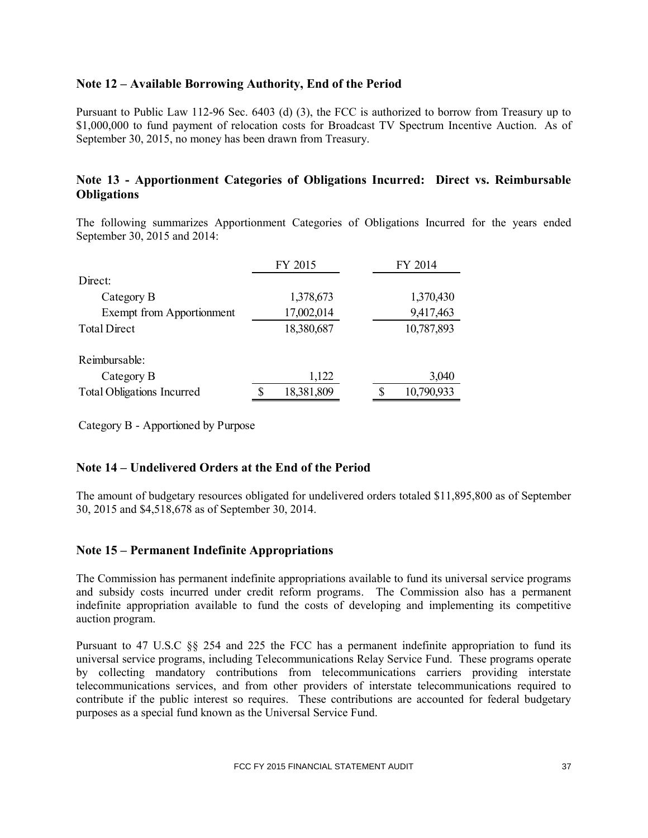#### **Note 12 – Available Borrowing Authority, End of the Period**

 Pursuant to Public Law 112-96 Sec. 6403 (d) (3), the FCC is authorized to borrow from Treasury up to \$1,000,000 to fund payment of relocation costs for Broadcast TV Spectrum Incentive Auction. As of September 30, 2015, no money has been drawn from Treasury.

#### **Note 13 - Apportionment Categories of Obligations Incurred: Direct vs. Reimbursable Obligations**

 The following summarizes Apportionment Categories of Obligations Incurred for the years ended September 30, 2015 and 2014:

|                                   |   | FY 2015    | FY 2014 |            |  |  |  |  |
|-----------------------------------|---|------------|---------|------------|--|--|--|--|
| Direct:                           |   |            |         |            |  |  |  |  |
| Category B                        |   | 1,378,673  |         | 1,370,430  |  |  |  |  |
| <b>Exempt from Apportionment</b>  |   | 17,002,014 |         | 9,417,463  |  |  |  |  |
| <b>Total Direct</b>               |   | 18,380,687 |         | 10,787,893 |  |  |  |  |
| Reimbursable:                     |   |            |         |            |  |  |  |  |
| Category B                        |   | 1,122      |         | 3,040      |  |  |  |  |
| <b>Total Obligations Incurred</b> | S | 18,381,809 | ◐       | 10,790,933 |  |  |  |  |

Category B - Apportioned by Purpose

#### **Note 14 – Undelivered Orders at the End of the Period**

 The amount of budgetary resources obligated for undelivered orders totaled \$11,895,800 as of September 30, 2015 and \$4,518,678 as of September 30, 2014.

#### **Note 15 – Permanent Indefinite Appropriations**

 and subsidy costs incurred under credit reform programs. The Commission also has a permanent indefinite appropriation available to fund the costs of developing and implementing its competitive The Commission has permanent indefinite appropriations available to fund its universal service programs auction program.

 Pursuant to 47 U.S.C §§ 254 and 225 the FCC has a permanent indefinite appropriation to fund its universal service programs, including Telecommunications Relay Service Fund. These programs operate by collecting mandatory contributions from telecommunications carriers providing interstate telecommunications services, and from other providers of interstate telecommunications required to contribute if the public interest so requires. These contributions are accounted for federal budgetary purposes as a special fund known as the Universal Service Fund.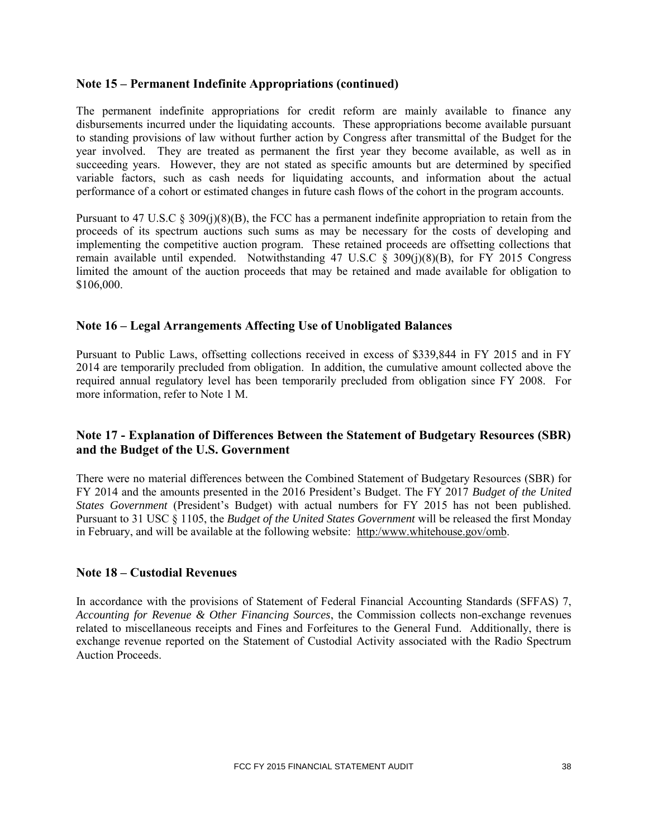#### **Note 15 – Permanent Indefinite Appropriations (continued)**

 The permanent indefinite appropriations for credit reform are mainly available to finance any disbursements incurred under the liquidating accounts. These appropriations become available pursuant to standing provisions of law without further action by Congress after transmittal of the Budget for the year involved. They are treated as permanent the first year they become available, as well as in succeeding years. However, they are not stated as specific amounts but are determined by specified variable factors, such as cash needs for liquidating accounts, and information about the actual performance of a cohort or estimated changes in future cash flows of the cohort in the program accounts.

 Pursuant to 47 U.S.C § 309(j)(8)(B), the FCC has a permanent indefinite appropriation to retain from the proceeds of its spectrum auctions such sums as may be necessary for the costs of developing and implementing the competitive auction program. These retained proceeds are offsetting collections that remain available until expended. Notwithstanding 47 U.S.C § 309(j)(8)(B), for FY 2015 Congress limited the amount of the auction proceeds that may be retained and made available for obligation to \$106,000.

#### **Note 16 – Legal Arrangements Affecting Use of Unobligated Balances**

 Pursuant to Public Laws, offsetting collections received in excess of \$339,844 in FY 2015 and in FY 2014 are temporarily precluded from obligation. In addition, the cumulative amount collected above the required annual regulatory level has been temporarily precluded from obligation since FY 2008. For more information, refer to Note 1 M.

#### **Note 17 - Explanation of Differences Between the Statement of Budgetary Resources (SBR) and the Budget of the U.S. Government**

 There were no material differences between the Combined Statement of Budgetary Resources (SBR) for  FY 2014 and the amounts presented in the 2016 President's Budget. The FY 2017 *Budget of the United States Government* (President's Budget) with actual numbers for FY 2015 has not been published. Pursuant to 31 USC § 1105, the *Budget of the United States Government* will be released the first Monday in February, and will be available at the following website: http:/www.whitehouse.gov/omb.

#### **Note 18 – Custodial Revenues**

 In accordance with the provisions of Statement of Federal Financial Accounting Standards (SFFAS) 7,  *Accounting for Revenue & Other Financing Sources*, the Commission collects non-exchange revenues related to miscellaneous receipts and Fines and Forfeitures to the General Fund. Additionally, there is exchange revenue reported on the Statement of Custodial Activity associated with the Radio Spectrum Auction Proceeds.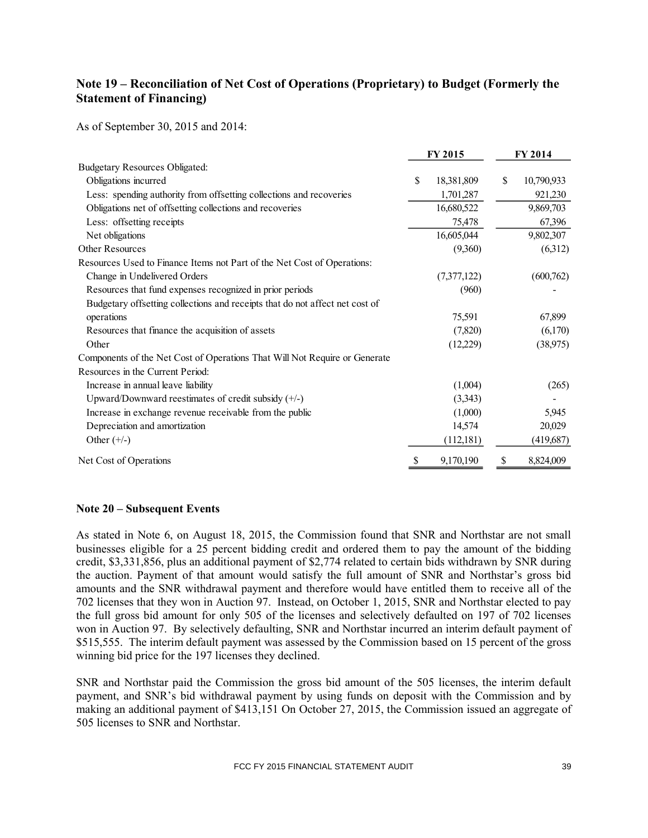#### **Statement of Financing) Note 19 – Reconciliation of Net Cost of Operations (Proprietary) to Budget (Formerly the**

As of September 30, 2015 and 2014:

|                                                                              | FY 2015          |    | FY 2014    |
|------------------------------------------------------------------------------|------------------|----|------------|
| <b>Budgetary Resources Obligated:</b>                                        |                  |    |            |
| Obligations incurred                                                         | \$<br>18,381,809 | \$ | 10,790,933 |
| Less: spending authority from offsetting collections and recoveries          | 1,701,287        |    | 921,230    |
| Obligations net of offsetting collections and recoveries                     | 16,680,522       |    | 9,869,703  |
| Less: offsetting receipts                                                    | 75,478           |    | 67,396     |
| Net obligations                                                              | 16,605,044       |    | 9,802,307  |
| Other Resources                                                              | (9,360)          |    | (6,312)    |
| Resources Used to Finance Items not Part of the Net Cost of Operations:      |                  |    |            |
| Change in Undelivered Orders                                                 | (7,377,122)      |    | (600, 762) |
| Resources that fund expenses recognized in prior periods                     | (960)            |    |            |
| Budgetary offsetting collections and receipts that do not affect net cost of |                  |    |            |
| operations                                                                   | 75,591           |    | 67,899     |
| Resources that finance the acquisition of assets                             | (7,820)          |    | (6,170)    |
| Other                                                                        | (12,229)         |    | (38, 975)  |
| Components of the Net Cost of Operations That Will Not Require or Generate   |                  |    |            |
| Resources in the Current Period:                                             |                  |    |            |
| Increase in annual leave liability                                           | (1,004)          |    | (265)      |
| Upward/Downward reestimates of credit subsidy $(+/-)$                        | (3,343)          |    |            |
| Increase in exchange revenue receivable from the public                      | (1,000)          |    | 5,945      |
| Depreciation and amortization                                                | 14,574           |    | 20,029     |
| Other $(+/-)$                                                                | (112, 181)       |    | (419,687)  |
| Net Cost of Operations                                                       | 9,170,190        | S  | 8,824,009  |

#### **Note 20 – Subsequent Events**

 As stated in Note 6, on August 18, 2015, the Commission found that SNR and Northstar are not small businesses eligible for a 25 percent bidding credit and ordered them to pay the amount of the bidding credit, \$3,331,856, plus an additional payment of \$2,774 related to certain bids withdrawn by SNR during the auction. Payment of that amount would satisfy the full amount of SNR and Northstar's gross bid amounts and the SNR withdrawal payment and therefore would have entitled them to receive all of the 702 licenses that they won in Auction 97. Instead, on October 1, 2015, SNR and Northstar elected to pay the full gross bid amount for only 505 of the licenses and selectively defaulted on 197 of 702 licenses won in Auction 97. By selectively defaulting, SNR and Northstar incurred an interim default payment of \$515,555. The interim default payment was assessed by the Commission based on 15 percent of the gross winning bid price for the 197 licenses they declined.

 SNR and Northstar paid the Commission the gross bid amount of the 505 licenses, the interim default payment, and SNR's bid withdrawal payment by using funds on deposit with the Commission and by making an additional payment of \$413,151 On October 27, 2015, the Commission issued an aggregate of 505 licenses to SNR and Northstar.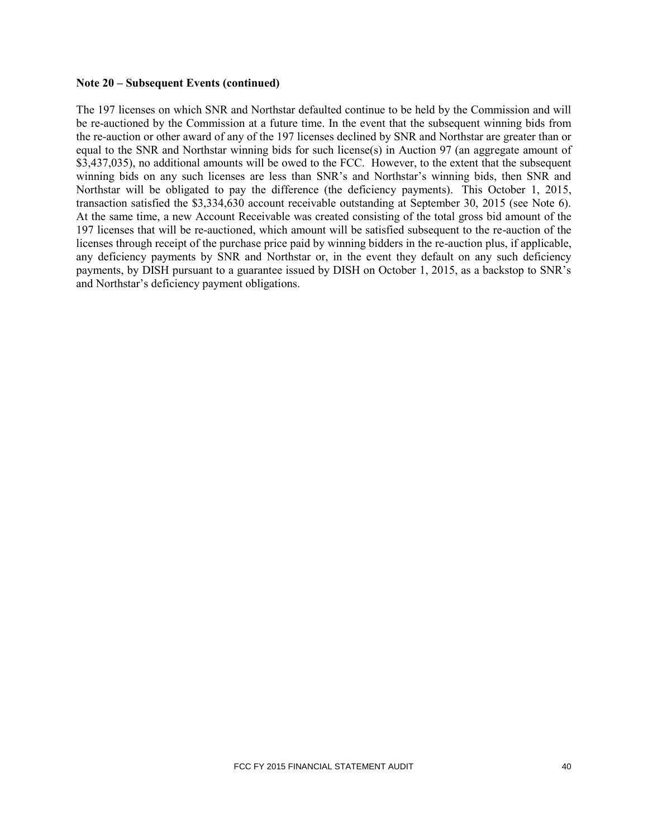#### **Note 20 – Subsequent Events (continued)**

 be re-auctioned by the Commission at a future time. In the event that the subsequent winning bids from equal to the SNR and Northstar winning bids for such license(s) in Auction 97 (an aggregate amount of \$3,437,035), no additional amounts will be owed to the FCC. However, to the extent that the subsequent winning bids on any such licenses are less than SNR's and Northstar's winning bids, then SNR and Northstar will be obligated to pay the difference (the deficiency payments). This October 1, 2015, transaction satisfied the \$3,334,630 account receivable outstanding at September 30, 2015 (see Note 6). At the same time, a new Account Receivable was created consisting of the total gross bid amount of the 197 licenses that will be re-auctioned, which amount will be satisfied subsequent to the re-auction of the any deficiency payments by SNR and Northstar or, in the event they default on any such deficiency payments, by DISH pursuant to a guarantee issued by DISH on October 1, 2015, as a backstop to SNR's The 197 licenses on which SNR and Northstar defaulted continue to be held by the Commission and will the re-auction or other award of any of the 197 licenses declined by SNR and Northstar are greater than or licenses through receipt of the purchase price paid by winning bidders in the re-auction plus, if applicable, and Northstar's deficiency payment obligations.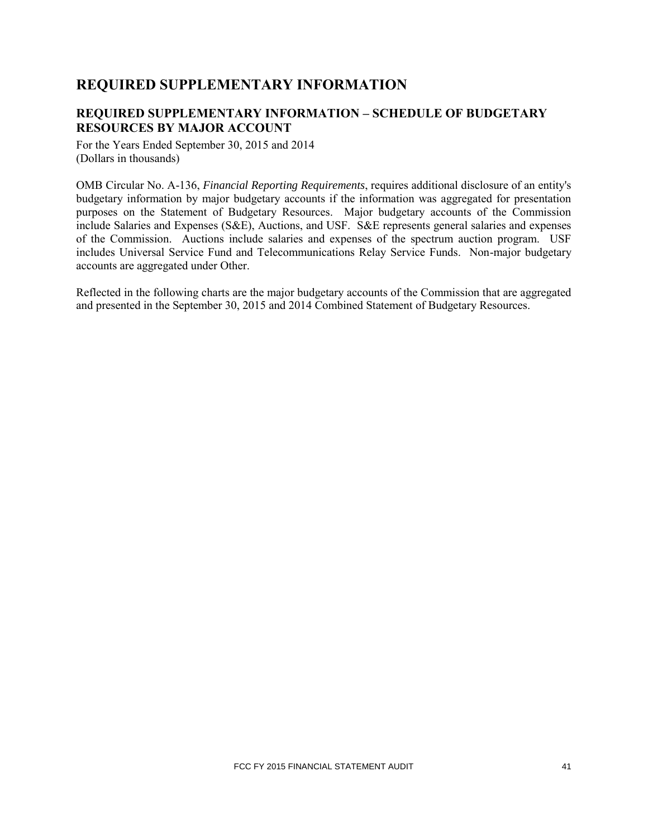# **REQUIRED SUPPLEMENTARY INFORMATION**

#### **REQUIRED SUPPLEMENTARY INFORMATION – SCHEDULE OF BUDGETARY RESOURCES BY MAJOR ACCOUNT**

For the Years Ended September 30, 2015 and 2014 (Dollars in thousands)

 OMB Circular No. A-136, *Financial Reporting Requirements*, requires additional disclosure of an entity's budgetary information by major budgetary accounts if the information was aggregated for presentation purposes on the Statement of Budgetary Resources. Major budgetary accounts of the Commission include Salaries and Expenses (S&E), Auctions, and USF. S&E represents general salaries and expenses of the Commission. Auctions include salaries and expenses of the spectrum auction program. USF includes Universal Service Fund and Telecommunications Relay Service Funds. Non-major budgetary accounts are aggregated under Other.

 Reflected in the following charts are the major budgetary accounts of the Commission that are aggregated and presented in the September 30, 2015 and 2014 Combined Statement of Budgetary Resources.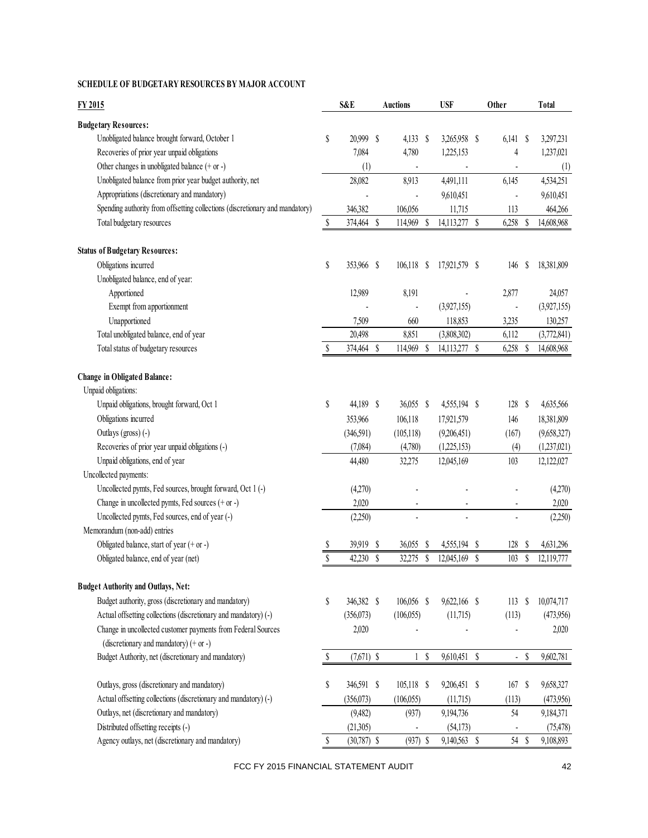#### **SCHEDULE OF BUDGETARY RESOURCES BY MAJOR ACCOUNT**

| FY 2015                                                                      |                         | <b>S&amp;E</b> |               | <b>Auctions</b> |    | <b>USF</b>     | Other                    |                           | <b>Total</b> |
|------------------------------------------------------------------------------|-------------------------|----------------|---------------|-----------------|----|----------------|--------------------------|---------------------------|--------------|
| <b>Budgetary Resources:</b>                                                  |                         |                |               |                 |    |                |                          |                           |              |
| Unobligated balance brought forward, October 1                               | \$                      | 20,999         | S             | $4,133$ \$      |    | 3,265,958 \$   | $6,141$ \$               |                           | 3,297,231    |
| Recoveries of prior year unpaid obligations                                  |                         | 7,084          |               | 4,780           |    | 1,225,153      | 4                        |                           | 1,237,021    |
| Other changes in unobligated balance $(+ or -)$                              |                         | (1)            |               | $\blacksquare$  |    |                | $\overline{a}$           |                           | (1)          |
| Unobligated balance from prior year budget authority, net                    |                         | 28,082         |               | 8,913           |    | 4,491,111      | 6,145                    |                           | 4,534,251    |
| Appropriations (discretionary and mandatory)                                 |                         |                |               | $\blacksquare$  |    | 9,610,451      | $\blacksquare$           |                           | 9,610,451    |
| Spending authority from offsetting collections (discretionary and mandatory) |                         | 346,382        |               | 106,056         |    | 11,715         | 113                      |                           | 464,266      |
| Total budgetary resources                                                    | \$                      | 374,464        | \$            | 114,969         | \$ | 14,113,277     | 6,258<br>\$              | S                         | 14,608,968   |
| <b>Status of Budgetary Resources:</b>                                        |                         |                |               |                 |    |                |                          |                           |              |
| Obligations incurred                                                         | \$                      | 353,966 \$     |               | 106,118         | -S | 17,921,579 \$  | 146                      | S                         | 18,381,809   |
| Unobligated balance, end of year:                                            |                         |                |               |                 |    |                |                          |                           |              |
| Apportioned                                                                  |                         | 12,989         |               | 8,191           |    |                | 2,877                    |                           | 24,057       |
| Exempt from apportionment                                                    |                         |                |               | $\overline{a}$  |    | (3,927,155)    | Ĭ.                       |                           | (3,927,155)  |
| Unapportioned                                                                |                         | 7,509          |               | 660             |    | 118,853        | 3,235                    |                           | 130,257      |
| Total unobligated balance, end of year                                       |                         | 20,498         |               | 8,851           |    | (3,808,302)    | 6,112                    |                           | (3,772,841)  |
| Total status of budgetary resources                                          | \$                      | 374,464        | S             | 114,969         | \$ | 14,113,277 \$  | 6,258                    | S                         | 14,608,968   |
| <b>Change in Obligated Balance:</b>                                          |                         |                |               |                 |    |                |                          |                           |              |
| Unpaid obligations:                                                          |                         |                |               |                 |    |                |                          |                           |              |
| Unpaid obligations, brought forward, Oct 1                                   | \$                      | 44,189         | - S           | 36,055 \$       |    | 4,555,194 \$   | 128S                     |                           | 4,635,566    |
| Obligations incurred                                                         |                         | 353,966        |               | 106,118         |    | 17,921,579     | 146                      |                           | 18,381,809   |
| Outlays (gross) (-)                                                          |                         | (346,591)      |               | (105, 118)      |    | (9,206,451)    | (167)                    |                           | (9,658,327)  |
| Recoveries of prior year unpaid obligations (-)                              |                         | (7,084)        |               | (4,780)         |    | (1,225,153)    | (4)                      |                           | (1,237,021)  |
| Unpaid obligations, end of year                                              |                         | 44,480         |               | 32,275          |    | 12,045,169     | 103                      |                           | 12,122,027   |
| Uncollected payments:                                                        |                         |                |               |                 |    |                |                          |                           |              |
| Uncollected pymts, Fed sources, brought forward, Oct 1 (-)                   |                         | (4,270)        |               |                 |    |                |                          |                           | (4,270)      |
| Change in uncollected pymts, Fed sources (+ or -)                            |                         | 2,020          |               | $\blacksquare$  |    | $\blacksquare$ | $\blacksquare$           |                           | 2,020        |
| Uncollected pymts, Fed sources, end of year (-)                              |                         | (2,250)        |               |                 |    |                | L,                       |                           | (2,250)      |
| Memorandum (non-add) entries                                                 |                         |                |               |                 |    |                |                          |                           |              |
| Obligated balance, start of year (+ or -)                                    | \$                      | 39,919         | \$            | 36,055          | \$ | 4,555,194      | 128<br>\$                | S                         | 4,631,296    |
| Obligated balance, end of year (net)                                         | $\overline{\mathbf{S}}$ | 42,230         | $\mathsf{\$}$ | 32,275          | \$ | 12,045,169     | \$<br>103                | \$                        | 12,119,777   |
| <b>Budget Authority and Outlays, Net:</b>                                    |                         |                |               |                 |    |                |                          |                           |              |
| Budget authority, gross (discretionary and mandatory)                        | \$                      | 346,382 \$     |               | 106,056 \$      |    | 9,622,166 \$   | 113S                     |                           | 10,074,717   |
| Actual offsetting collections (discretionary and mandatory) (-)              |                         | (356,073)      |               | (106, 055)      |    | (11,715)       | (113)                    |                           | (473,956)    |
| Change in uncollected customer payments from Federal Sources                 |                         | 2,020          |               |                 |    |                | ä,                       |                           | 2,020        |
| (discretionary and mandatory) $(+ or -)$                                     |                         |                |               |                 |    |                |                          |                           |              |
| Budget Authority, net (discretionary and mandatory)                          | $\mathbb S$             | $(7,671)$ \$   |               | $\mathbf{1}$    | \$ | 9,610,451 \$   | ÷,                       | $\boldsymbol{\mathsf{S}}$ | 9,602,781    |
| Outlays, gross (discretionary and mandatory)                                 | \$                      | 346,591 \$     |               | 105,118 \$      |    | 9,206,451 \$   | 167S                     |                           | 9,658,327    |
| Actual offsetting collections (discretionary and mandatory) (-)              |                         | (356,073)      |               | (106, 055)      |    | (11,715)       | (113)                    |                           | (473,956)    |
| Outlays, net (discretionary and mandatory)                                   |                         | (9,482)        |               | (937)           |    | 9,194,736      | 54                       |                           | 9,184,371    |
| Distributed offsetting receipts (-)                                          |                         | (21,305)       |               |                 |    | (54,173)       | $\overline{\phantom{a}}$ |                           | (75, 478)    |
| Agency outlays, net (discretionary and mandatory)                            | S                       | $(30,787)$ \$  |               | $(937)$ \$      |    | 9,140,563 \$   | 54                       | S                         | 9,108,893    |

FCC FY 2015 FINANCIAL STATEMENT AUDIT 42